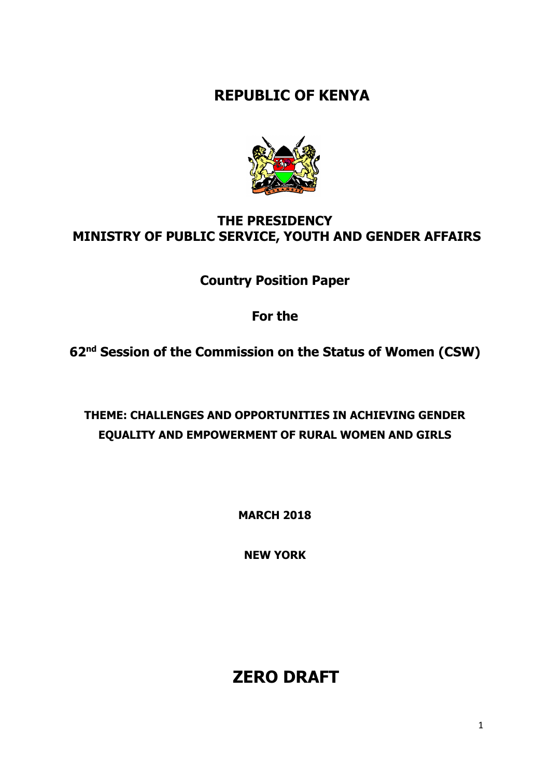**REPUBLIC OF KENYA**



# **THE PRESIDENCY MINISTRY OF PUBLIC SERVICE, YOUTH AND GENDER AFFAIRS**

**Country Position Paper** 

**For the**

**62nd Session of the Commission on the Status of Women (CSW)** 

**THEME: CHALLENGES AND OPPORTUNITIES IN ACHIEVING GENDER EQUALITY AND EMPOWERMENT OF RURAL WOMEN AND GIRLS**

**MARCH 2018** 

**NEW YORK**

# **ZERO DRAFT**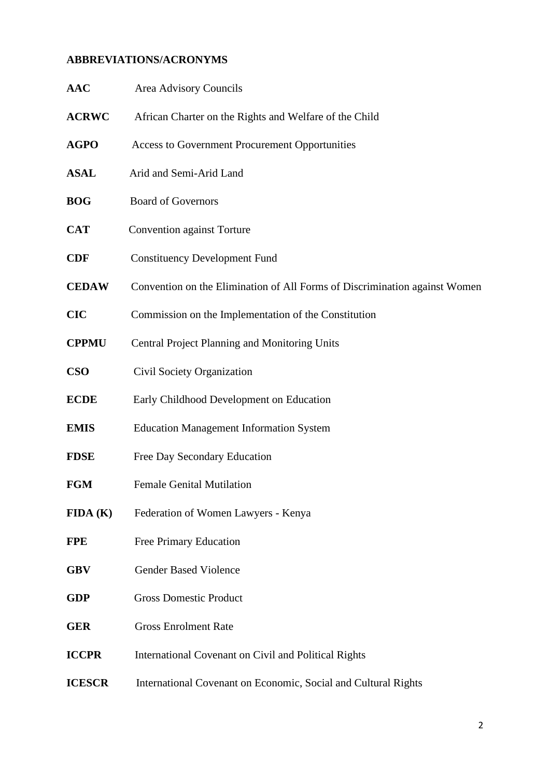# **ABBREVIATIONS/ACRONYMS**

| <b>AAC</b>    | <b>Area Advisory Councils</b>                                              |
|---------------|----------------------------------------------------------------------------|
| <b>ACRWC</b>  | African Charter on the Rights and Welfare of the Child                     |
| <b>AGPO</b>   | Access to Government Procurement Opportunities                             |
| <b>ASAL</b>   | Arid and Semi-Arid Land                                                    |
| <b>BOG</b>    | <b>Board of Governors</b>                                                  |
| <b>CAT</b>    | <b>Convention against Torture</b>                                          |
| <b>CDF</b>    | <b>Constituency Development Fund</b>                                       |
| <b>CEDAW</b>  | Convention on the Elimination of All Forms of Discrimination against Women |
| <b>CIC</b>    | Commission on the Implementation of the Constitution                       |
| <b>CPPMU</b>  | Central Project Planning and Monitoring Units                              |
| <b>CSO</b>    | Civil Society Organization                                                 |
| <b>ECDE</b>   | Early Childhood Development on Education                                   |
| <b>EMIS</b>   | <b>Education Management Information System</b>                             |
| <b>FDSE</b>   | Free Day Secondary Education                                               |
| <b>FGM</b>    | <b>Female Genital Mutilation</b>                                           |
| FIDA(K)       | Federation of Women Lawyers - Kenya                                        |
| <b>FPE</b>    | Free Primary Education                                                     |
| <b>GBV</b>    | <b>Gender Based Violence</b>                                               |
| <b>GDP</b>    | <b>Gross Domestic Product</b>                                              |
| <b>GER</b>    | <b>Gross Enrolment Rate</b>                                                |
| <b>ICCPR</b>  | International Covenant on Civil and Political Rights                       |
| <b>ICESCR</b> | International Covenant on Economic, Social and Cultural Rights             |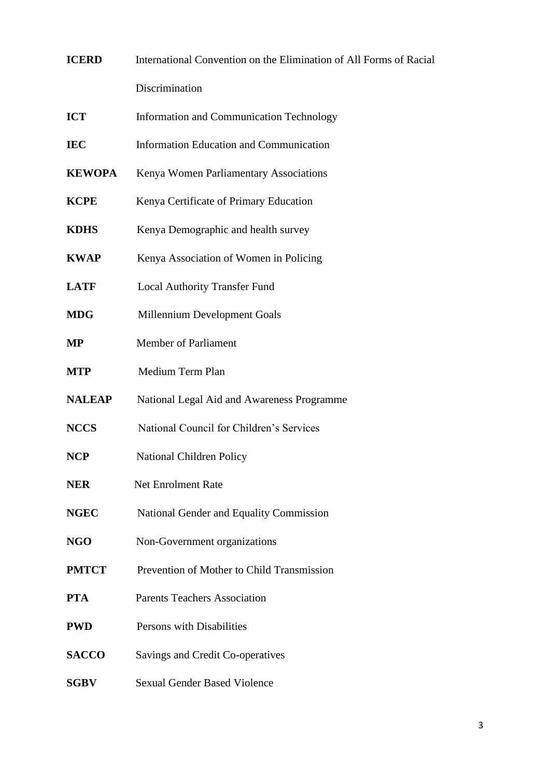| <b>ICERD</b>  | International Convention on the Elimination of All Forms of Racial |
|---------------|--------------------------------------------------------------------|
|               | Discrimination                                                     |
| <b>ICT</b>    | Information and Communication Technology                           |
| <b>IEC</b>    | Information Education and Communication                            |
| <b>KEWOPA</b> | Kenya Women Parliamentary Associations                             |
| <b>KCPE</b>   | Kenya Certificate of Primary Education                             |
| <b>KDHS</b>   | Kenya Demographic and health survey                                |
| <b>KWAP</b>   | Kenya Association of Women in Policing                             |
| <b>LATF</b>   | <b>Local Authority Transfer Fund</b>                               |
| <b>MDG</b>    | Millennium Development Goals                                       |
| <b>MP</b>     | <b>Member of Parliament</b>                                        |
| <b>MTP</b>    | Medium Term Plan                                                   |
| <b>NALEAP</b> | National Legal Aid and Awareness Programme                         |
| <b>NCCS</b>   | National Council for Children's Services                           |
| <b>NCP</b>    | National Children Policy                                           |
| <b>NER</b>    | <b>Net Enrolment Rate</b>                                          |
| <b>NGEC</b>   | National Gender and Equality Commission                            |
| <b>NGO</b>    | Non-Government organizations                                       |
| <b>PMTCT</b>  | Prevention of Mother to Child Transmission                         |
| <b>PTA</b>    | <b>Parents Teachers Association</b>                                |
| <b>PWD</b>    | Persons with Disabilities                                          |
| <b>SACCO</b>  | Savings and Credit Co-operatives                                   |
| <b>SGBV</b>   | <b>Sexual Gender Based Violence</b>                                |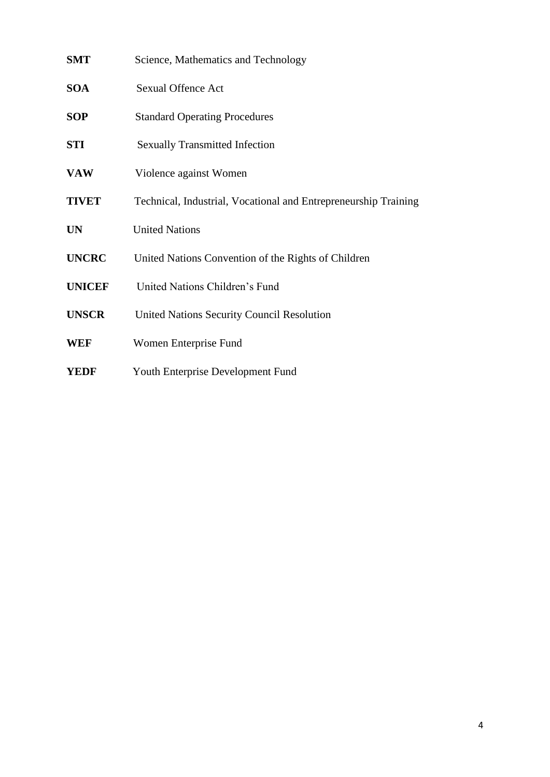| <b>SMT</b>    | Science, Mathematics and Technology                             |
|---------------|-----------------------------------------------------------------|
| <b>SOA</b>    | <b>Sexual Offence Act</b>                                       |
| <b>SOP</b>    | <b>Standard Operating Procedures</b>                            |
| <b>STI</b>    | <b>Sexually Transmitted Infection</b>                           |
| <b>VAW</b>    | Violence against Women                                          |
| <b>TIVET</b>  | Technical, Industrial, Vocational and Entrepreneurship Training |
| <b>UN</b>     | <b>United Nations</b>                                           |
| <b>UNCRC</b>  | United Nations Convention of the Rights of Children             |
| <b>UNICEF</b> | United Nations Children's Fund                                  |
| <b>UNSCR</b>  | <b>United Nations Security Council Resolution</b>               |
| <b>WEF</b>    | Women Enterprise Fund                                           |
| <b>YEDF</b>   | Youth Enterprise Development Fund                               |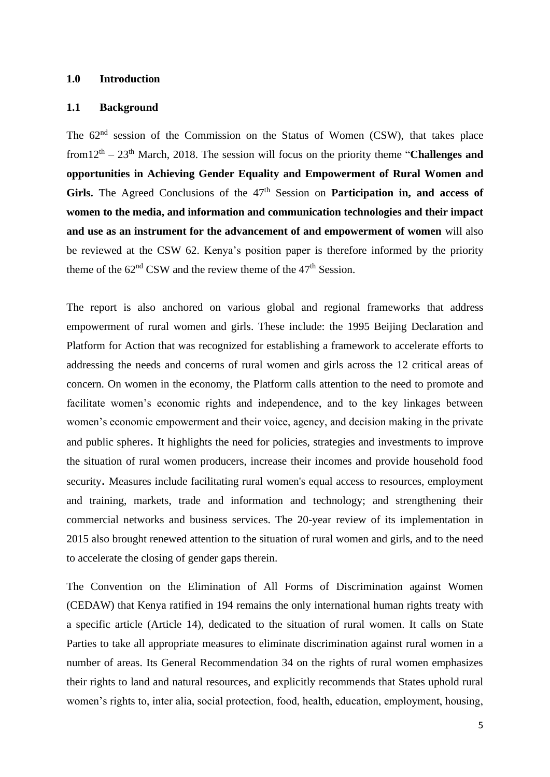#### **1.0 Introduction**

#### **1.1 Background**

The 62<sup>nd</sup> session of the Commission on the Status of Women (CSW), that takes place from12<sup>th</sup> – 23<sup>th</sup> March, 2018. The session will focus on the priority theme "**Challenges and opportunities in Achieving Gender Equality and Empowerment of Rural Women and**  Girls. The Agreed Conclusions of the 47<sup>th</sup> Session on Participation in, and access of **women to the media, and information and communication technologies and their impact and use as an instrument for the advancement of and empowerment of women** will also be reviewed at the CSW 62. Kenya's position paper is therefore informed by the priority theme of the  $62<sup>nd</sup>$  CSW and the review theme of the 47<sup>th</sup> Session.

The report is also anchored on various global and regional frameworks that address empowerment of rural women and girls. These include: the 1995 Beijing Declaration and Platform for Action that was recognized for establishing a framework to accelerate efforts to addressing the needs and concerns of rural women and girls across the 12 critical areas of concern. On women in the economy, the Platform calls attention to the need to promote and facilitate women's economic rights and independence, and to the key linkages between women's economic empowerment and their voice, agency, and decision making in the private and public spheres. It highlights the need for policies, strategies and investments to improve the situation of rural women producers, increase their incomes and provide household food security. Measures include facilitating rural women's equal access to resources, employment and training, markets, trade and information and technology; and strengthening their commercial networks and business services. The 20-year review of its implementation in 2015 also brought renewed attention to the situation of rural women and girls, and to the need to accelerate the closing of gender gaps therein.

The Convention on the Elimination of All Forms of Discrimination against Women (CEDAW) that Kenya ratified in 194 remains the only international human rights treaty with a specific article (Article 14), dedicated to the situation of rural women. It calls on State Parties to take all appropriate measures to eliminate discrimination against rural women in a number of areas. Its General Recommendation 34 on the rights of rural women emphasizes their rights to land and natural resources, and explicitly recommends that States uphold rural women's rights to, inter alia, social protection, food, health, education, employment, housing,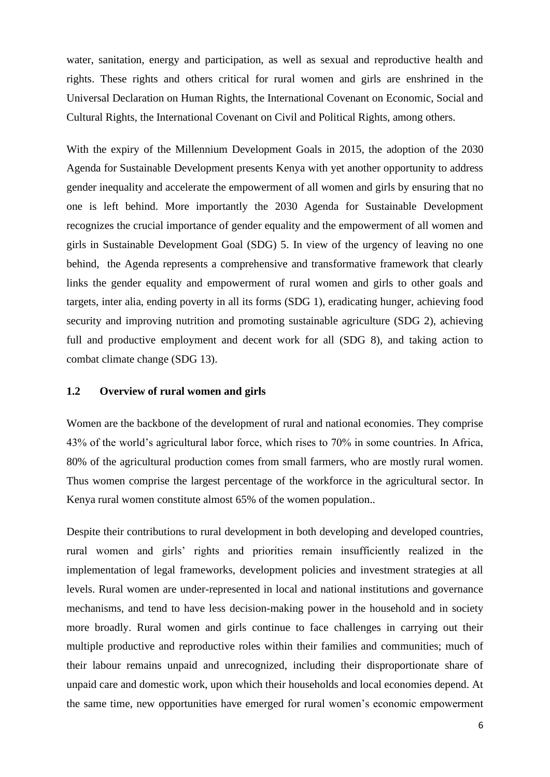water, sanitation, energy and participation, as well as sexual and reproductive health and rights. These rights and others critical for rural women and girls are enshrined in the Universal Declaration on Human Rights, the International Covenant on Economic, Social and Cultural Rights, the International Covenant on Civil and Political Rights, among others.

With the expiry of the Millennium Development Goals in 2015, the adoption of the 2030 Agenda for Sustainable Development presents Kenya with yet another opportunity to address gender inequality and accelerate the empowerment of all women and girls by ensuring that no one is left behind. More importantly the 2030 Agenda for Sustainable Development recognizes the crucial importance of gender equality and the empowerment of all women and girls in Sustainable Development Goal (SDG) 5. In view of the urgency of leaving no one behind, the Agenda represents a comprehensive and transformative framework that clearly links the gender equality and empowerment of rural women and girls to other goals and targets, inter alia, ending poverty in all its forms (SDG 1), eradicating hunger, achieving food security and improving nutrition and promoting sustainable agriculture (SDG 2), achieving full and productive employment and decent work for all (SDG 8), and taking action to combat climate change (SDG 13).

#### **1.2 Overview of rural women and girls**

Women are the backbone of the development of rural and national economies. They comprise 43% of the world's agricultural labor force, which rises to 70% in some countries. In Africa, 80% of the agricultural production comes from small farmers, who are mostly rural women. Thus women comprise the largest percentage of the workforce in the agricultural sector. In Kenya rural women constitute almost 65% of the women population..

Despite their contributions to rural development in both developing and developed countries, rural women and girls' rights and priorities remain insufficiently realized in the implementation of legal frameworks, development policies and investment strategies at all levels. Rural women are under-represented in local and national institutions and governance mechanisms, and tend to have less decision-making power in the household and in society more broadly. Rural women and girls continue to face challenges in carrying out their multiple productive and reproductive roles within their families and communities; much of their labour remains unpaid and unrecognized, including their disproportionate share of unpaid care and domestic work, upon which their households and local economies depend. At the same time, new opportunities have emerged for rural women's economic empowerment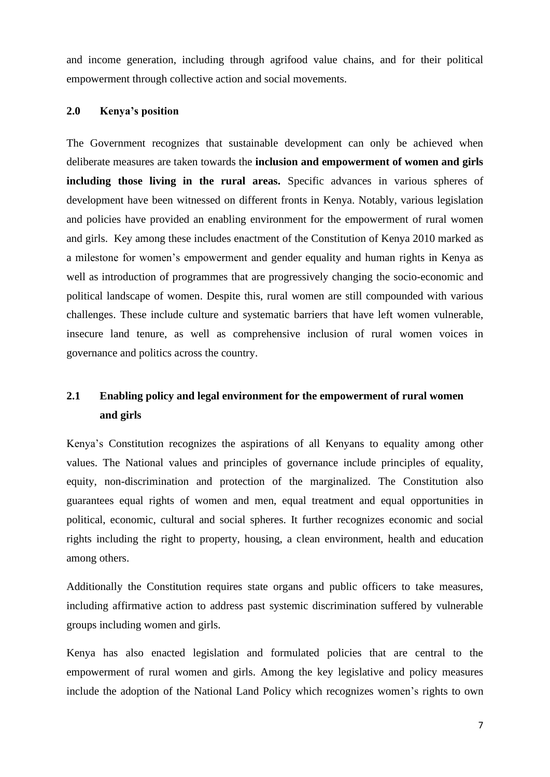and income generation, including through agrifood value chains, and for their political empowerment through collective action and social movements.

#### **2.0 Kenya's position**

The Government recognizes that sustainable development can only be achieved when deliberate measures are taken towards the **inclusion and empowerment of women and girls including those living in the rural areas.** Specific advances in various spheres of development have been witnessed on different fronts in Kenya. Notably, various legislation and policies have provided an enabling environment for the empowerment of rural women and girls. Key among these includes enactment of the Constitution of Kenya 2010 marked as a milestone for women's empowerment and gender equality and human rights in Kenya as well as introduction of programmes that are progressively changing the socio-economic and political landscape of women. Despite this, rural women are still compounded with various challenges. These include culture and systematic barriers that have left women vulnerable, insecure land tenure, as well as comprehensive inclusion of rural women voices in governance and politics across the country.

# **2.1 Enabling policy and legal environment for the empowerment of rural women and girls**

Kenya's Constitution recognizes the aspirations of all Kenyans to equality among other values. The National values and principles of governance include principles of equality, equity, non-discrimination and protection of the marginalized. The Constitution also guarantees equal rights of women and men, equal treatment and equal opportunities in political, economic, cultural and social spheres. It further recognizes economic and social rights including the right to property, housing, a clean environment, health and education among others.

Additionally the Constitution requires state organs and public officers to take measures, including affirmative action to address past systemic discrimination suffered by vulnerable groups including women and girls.

Kenya has also enacted legislation and formulated policies that are central to the empowerment of rural women and girls. Among the key legislative and policy measures include the adoption of the National Land Policy which recognizes women's rights to own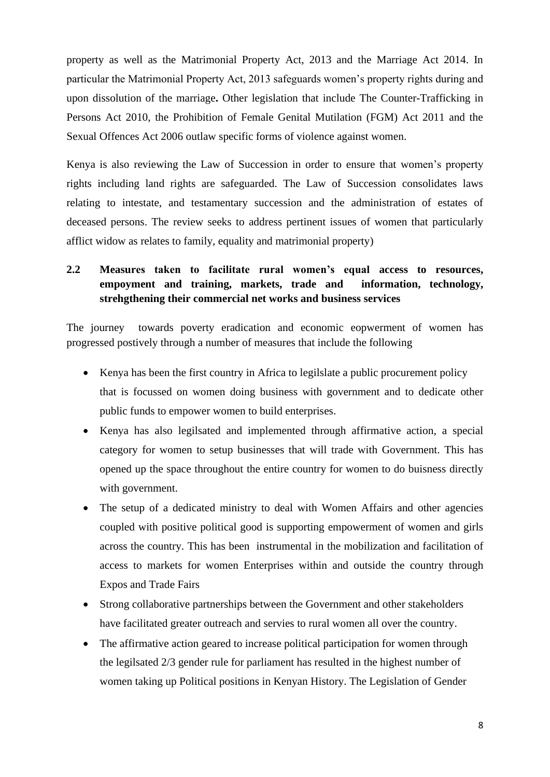property as well as the Matrimonial Property Act, 2013 and the Marriage Act 2014. In particular the Matrimonial Property Act, 2013 safeguards women's property rights during and upon dissolution of the marriage**.** Other legislation that include The Counter-Trafficking in Persons Act 2010, the Prohibition of Female Genital Mutilation (FGM) Act 2011 and the Sexual Offences Act 2006 outlaw specific forms of violence against women.

Kenya is also reviewing the Law of Succession in order to ensure that women's property rights including land rights are safeguarded. The Law of Succession consolidates laws relating to intestate, and testamentary succession and the administration of estates of deceased persons. The review seeks to address pertinent issues of women that particularly afflict widow as relates to family, equality and matrimonial property)

# **2.2 Measures taken to facilitate rural women's equal access to resources, empoyment and training, markets, trade and information, technology, strehgthening their commercial net works and business services**

The journey towards poverty eradication and economic eopwerment of women has progressed postively through a number of measures that include the following

- Kenya has been the first country in Africa to legilslate a public procurement policy that is focussed on women doing business with government and to dedicate other public funds to empower women to build enterprises.
- Kenya has also legilsated and implemented through affirmative action, a special category for women to setup businesses that will trade with Government. This has opened up the space throughout the entire country for women to do buisness directly with government.
- The setup of a dedicated ministry to deal with Women Affairs and other agencies coupled with positive political good is supporting empowerment of women and girls across the country. This has been instrumental in the mobilization and facilitation of access to markets for women Enterprises within and outside the country through Expos and Trade Fairs
- Strong collaborative partnerships between the Government and other stakeholders have facilitated greater outreach and servies to rural women all over the country.
- The affirmative action geared to increase political participation for women through the legilsated 2/3 gender rule for parliament has resulted in the highest number of women taking up Political positions in Kenyan History. The Legislation of Gender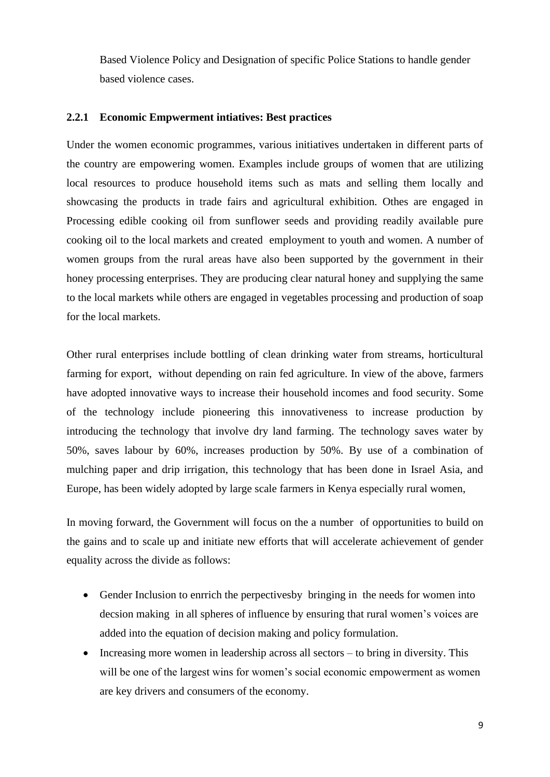Based Violence Policy and Designation of specific Police Stations to handle gender based violence cases.

#### **2.2.1 Economic Empwerment intiatives: Best practices**

Under the women economic programmes, various initiatives undertaken in different parts of the country are empowering women. Examples include groups of women that are utilizing local resources to produce household items such as mats and selling them locally and showcasing the products in trade fairs and agricultural exhibition. Othes are engaged in Processing edible cooking oil from sunflower seeds and providing readily available pure cooking oil to the local markets and created employment to youth and women. A number of women groups from the rural areas have also been supported by the government in their honey processing enterprises. They are producing clear natural honey and supplying the same to the local markets while others are engaged in vegetables processing and production of soap for the local markets.

Other rural enterprises include bottling of clean drinking water from streams, horticultural farming for export, without depending on rain fed agriculture. In view of the above, farmers have adopted innovative ways to increase their household incomes and food security. Some of the technology include pioneering this innovativeness to increase production by introducing the technology that involve dry land farming. The technology saves water by 50%, saves labour by 60%, increases production by 50%. By use of a combination of mulching paper and drip irrigation, this technology that has been done in Israel Asia, and Europe, has been widely adopted by large scale farmers in Kenya especially rural women,

In moving forward, the Government will focus on the a number of opportunities to build on the gains and to scale up and initiate new efforts that will accelerate achievement of gender equality across the divide as follows:

- Gender Inclusion to enrrich the perpectives by bringing in the needs for women into decsion making in all spheres of influence by ensuring that rural women's voices are added into the equation of decision making and policy formulation.
- Increasing more women in leadership across all sectors to bring in diversity. This will be one of the largest wins for women's social economic empowerment as women are key drivers and consumers of the economy.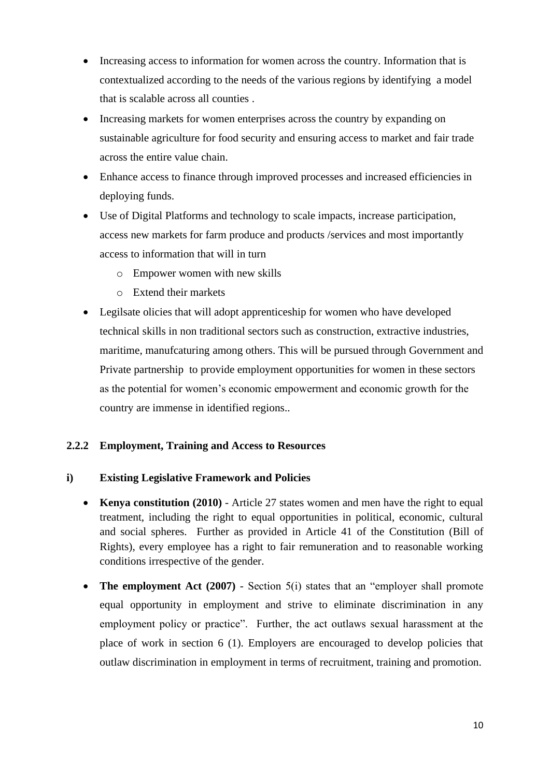- Increasing access to information for women across the country. Information that is contextualized according to the needs of the various regions by identifying a model that is scalable across all counties .
- Increasing markets for women enterprises across the country by expanding on sustainable agriculture for food security and ensuring access to market and fair trade across the entire value chain.
- Enhance access to finance through improved processes and increased efficiencies in deploying funds.
- Use of Digital Platforms and technology to scale impacts, increase participation, access new markets for farm produce and products /services and most importantly access to information that will in turn
	- o Empower women with new skills
	- o Extend their markets
- Legilsate olicies that will adopt apprenticeship for women who have developed technical skills in non traditional sectors such as construction, extractive industries, maritime, manufcaturing among others. This will be pursued through Government and Private partnership to provide employment opportunities for women in these sectors as the potential for women's economic empowerment and economic growth for the country are immense in identified regions..

# **2.2.2 Employment, Training and Access to Resources**

# **i) Existing Legislative Framework and Policies**

- **Kenya constitution (2010)** Article 27 states women and men have the right to equal treatment, including the right to equal opportunities in political, economic, cultural and social spheres. Further as provided in Article 41 of the Constitution (Bill of Rights), every employee has a right to fair remuneration and to reasonable working conditions irrespective of the gender.
- **The employment Act (2007)** Section 5(i) states that an "employer shall promote equal opportunity in employment and strive to eliminate discrimination in any employment policy or practice". Further, the act outlaws sexual harassment at the place of work in section 6 (1). Employers are encouraged to develop policies that outlaw discrimination in employment in terms of recruitment, training and promotion.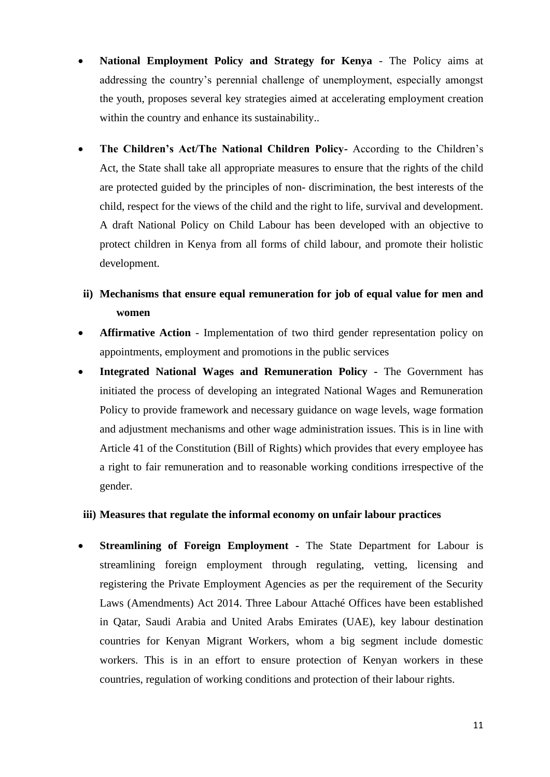- **National Employment Policy and Strategy for Kenya** The Policy aims at addressing the country's perennial challenge of unemployment, especially amongst the youth, proposes several key strategies aimed at accelerating employment creation within the country and enhance its sustainability...
- **The Children's Act/The National Children Policy-** According to the Children's Act, the State shall take all appropriate measures to ensure that the rights of the child are protected guided by the principles of non- discrimination, the best interests of the child, respect for the views of the child and the right to life, survival and development. A draft National Policy on Child Labour has been developed with an objective to protect children in Kenya from all forms of child labour, and promote their holistic development.
- **ii) Mechanisms that ensure equal remuneration for job of equal value for men and women**
- **Affirmative Action** Implementation of two third gender representation policy on appointments, employment and promotions in the public services
- **Integrated National Wages and Remuneration Policy -** The Government has initiated the process of developing an integrated National Wages and Remuneration Policy to provide framework and necessary guidance on wage levels, wage formation and adjustment mechanisms and other wage administration issues. This is in line with Article 41 of the Constitution (Bill of Rights) which provides that every employee has a right to fair remuneration and to reasonable working conditions irrespective of the gender.

#### **iii) Measures that regulate the informal economy on unfair labour practices**

• **Streamlining of Foreign Employment -** The State Department for Labour is streamlining foreign employment through regulating, vetting, licensing and registering the Private Employment Agencies as per the requirement of the Security Laws (Amendments) Act 2014. Three Labour Attaché Offices have been established in Qatar, Saudi Arabia and United Arabs Emirates (UAE), key labour destination countries for Kenyan Migrant Workers, whom a big segment include domestic workers. This is in an effort to ensure protection of Kenyan workers in these countries, regulation of working conditions and protection of their labour rights.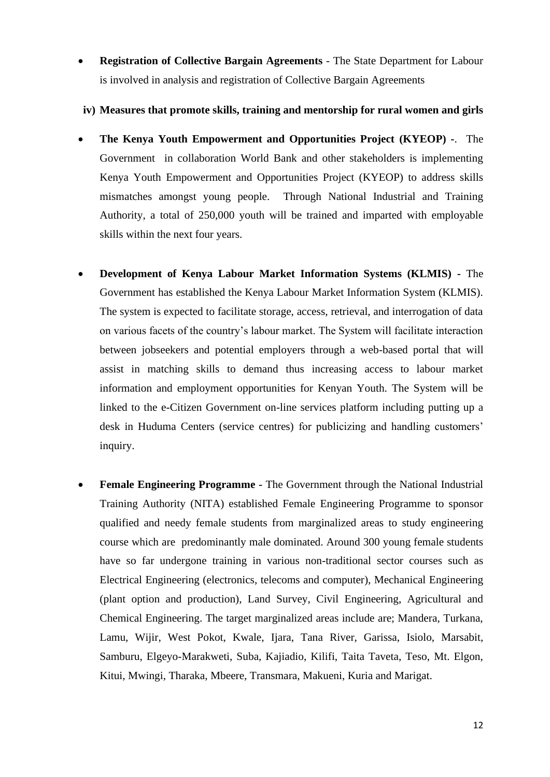- **Registration of Collective Bargain Agreements** The State Department for Labour is involved in analysis and registration of Collective Bargain Agreements
- **iv) Measures that promote skills, training and mentorship for rural women and girls**
- **The Kenya Youth Empowerment and Opportunities Project (KYEOP) -**. The Government in collaboration World Bank and other stakeholders is implementing Kenya Youth Empowerment and Opportunities Project (KYEOP) to address skills mismatches amongst young people. Through National Industrial and Training Authority, a total of 250,000 youth will be trained and imparted with employable skills within the next four years.
- **Development of Kenya Labour Market Information Systems (KLMIS) -** The Government has established the Kenya Labour Market Information System (KLMIS). The system is expected to facilitate storage, access, retrieval, and interrogation of data on various facets of the country's labour market. The System will facilitate interaction between jobseekers and potential employers through a web-based portal that will assist in matching skills to demand thus increasing access to labour market information and employment opportunities for Kenyan Youth. The System will be linked to the e-Citizen Government on-line services platform including putting up a desk in Huduma Centers (service centres) for publicizing and handling customers' inquiry.
- **Female Engineering Programme -** The Government through the National Industrial Training Authority (NITA) established Female Engineering Programme to sponsor qualified and needy female students from marginalized areas to study engineering course which are predominantly male dominated. Around 300 young female students have so far undergone training in various non-traditional sector courses such as Electrical Engineering (electronics, telecoms and computer), Mechanical Engineering (plant option and production), Land Survey, Civil Engineering, Agricultural and Chemical Engineering. The target marginalized areas include are; Mandera, Turkana, Lamu, Wijir, West Pokot, Kwale, Ijara, Tana River, Garissa, Isiolo, Marsabit, Samburu, Elgeyo-Marakweti, Suba, Kajiadio, Kilifi, Taita Taveta, Teso, Mt. Elgon, Kitui, Mwingi, Tharaka, Mbeere, Transmara, Makueni, Kuria and Marigat.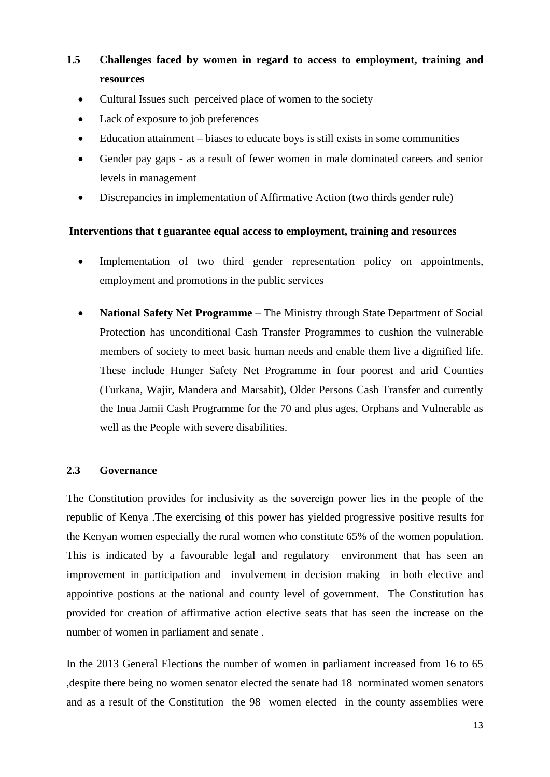# **1.5 Challenges faced by women in regard to access to employment, training and resources**

- Cultural Issues such perceived place of women to the society
- Lack of exposure to job preferences
- Education attainment biases to educate boys is still exists in some communities
- Gender pay gaps as a result of fewer women in male dominated careers and senior levels in management
- Discrepancies in implementation of Affirmative Action (two thirds gender rule)

#### **Interventions that t guarantee equal access to employment, training and resources**

- Implementation of two third gender representation policy on appointments, employment and promotions in the public services
- **National Safety Net Programme** The Ministry through State Department of Social Protection has unconditional Cash Transfer Programmes to cushion the vulnerable members of society to meet basic human needs and enable them live a dignified life. These include Hunger Safety Net Programme in four poorest and arid Counties (Turkana, Wajir, Mandera and Marsabit), Older Persons Cash Transfer and currently the Inua Jamii Cash Programme for the 70 and plus ages, Orphans and Vulnerable as well as the People with severe disabilities.

### **2.3 Governance**

The Constitution provides for inclusivity as the sovereign power lies in the people of the republic of Kenya .The exercising of this power has yielded progressive positive results for the Kenyan women especially the rural women who constitute 65% of the women population. This is indicated by a favourable legal and regulatory environment that has seen an improvement in participation and involvement in decision making in both elective and appointive postions at the national and county level of government. The Constitution has provided for creation of affirmative action elective seats that has seen the increase on the number of women in parliament and senate .

In the 2013 General Elections the number of women in parliament increased from 16 to 65 ,despite there being no women senator elected the senate had 18 norminated women senators and as a result of the Constitution the 98 women elected in the county assemblies were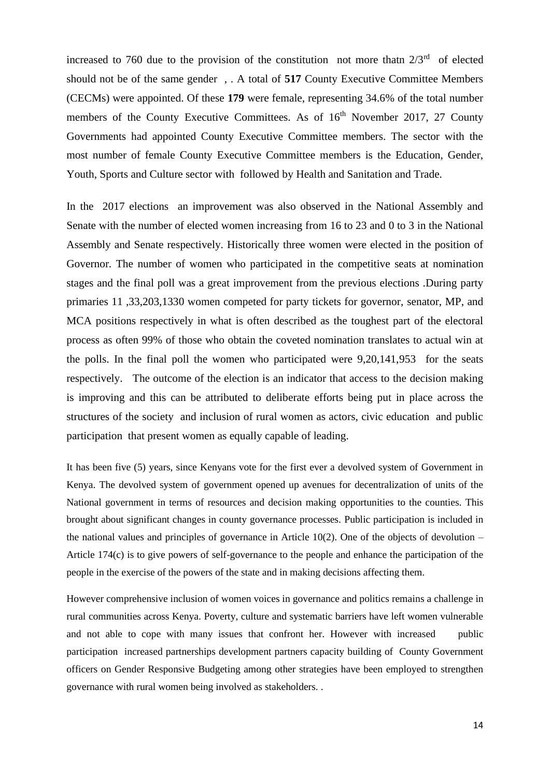increased to 760 due to the provision of the constitution not more that  $2/3^{rd}$  of elected should not be of the same gender , . A total of **517** County Executive Committee Members (CECMs) were appointed. Of these **179** were female, representing 34.6% of the total number members of the County Executive Committees. As of  $16<sup>th</sup>$  November 2017, 27 County Governments had appointed County Executive Committee members. The sector with the most number of female County Executive Committee members is the Education, Gender, Youth, Sports and Culture sector with followed by Health and Sanitation and Trade.

In the 2017 elections an improvement was also observed in the National Assembly and Senate with the number of elected women increasing from 16 to 23 and 0 to 3 in the National Assembly and Senate respectively. Historically three women were elected in the position of Governor. The number of women who participated in the competitive seats at nomination stages and the final poll was a great improvement from the previous elections .During party primaries 11 ,33,203,1330 women competed for party tickets for governor, senator, MP, and MCA positions respectively in what is often described as the toughest part of the electoral process as often 99% of those who obtain the coveted nomination translates to actual win at the polls. In the final poll the women who participated were 9,20,141,953 for the seats respectively. The outcome of the election is an indicator that access to the decision making is improving and this can be attributed to deliberate efforts being put in place across the structures of the society and inclusion of rural women as actors, civic education and public participation that present women as equally capable of leading.

It has been five (5) years, since Kenyans vote for the first ever a devolved system of Government in Kenya. The devolved system of government opened up avenues for decentralization of units of the National government in terms of resources and decision making opportunities to the counties. This brought about significant changes in county governance processes. Public participation is included in the national values and principles of governance in Article  $10(2)$ . One of the objects of devolution – Article 174(c) is to give powers of self-governance to the people and enhance the participation of the people in the exercise of the powers of the state and in making decisions affecting them.

However comprehensive inclusion of women voices in governance and politics remains a challenge in rural communities across Kenya. Poverty, culture and systematic barriers have left women vulnerable and not able to cope with many issues that confront her. However with increased public participation increased partnerships development partners capacity building of County Government officers on Gender Responsive Budgeting among other strategies have been employed to strengthen governance with rural women being involved as stakeholders. .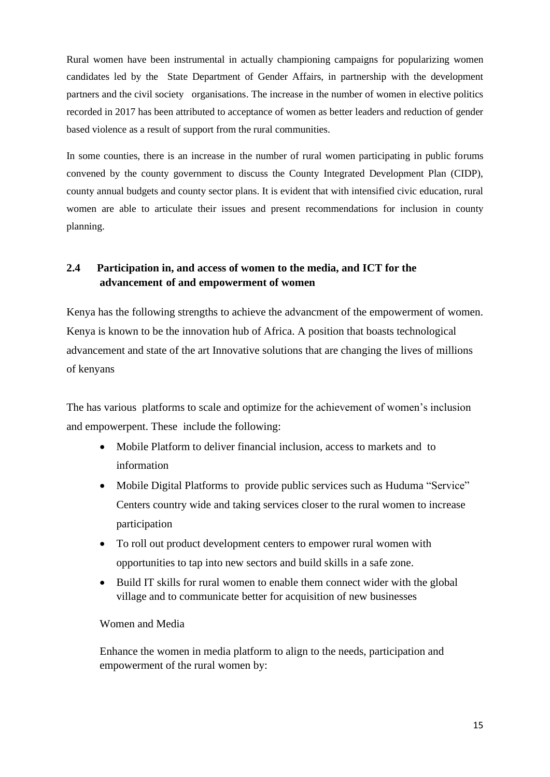Rural women have been instrumental in actually championing campaigns for popularizing women candidates led by the State Department of Gender Affairs, in partnership with the development partners and the civil society organisations. The increase in the number of women in elective politics recorded in 2017 has been attributed to acceptance of women as better leaders and reduction of gender based violence as a result of support from the rural communities.

In some counties, there is an increase in the number of rural women participating in public forums convened by the county government to discuss the County Integrated Development Plan (CIDP), county annual budgets and county sector plans. It is evident that with intensified civic education, rural women are able to articulate their issues and present recommendations for inclusion in county planning.

# **2.4 Participation in, and access of women to the media, and ICT for the advancement of and empowerment of women**

Kenya has the following strengths to achieve the advancment of the empowerment of women. Kenya is known to be the innovation hub of Africa. A position that boasts technological advancement and state of the art Innovative solutions that are changing the lives of millions of kenyans

The has various platforms to scale and optimize for the achievement of women's inclusion and empowerpent. These include the following:

- Mobile Platform to deliver financial inclusion, access to markets and to information
- Mobile Digital Platforms to provide public services such as Huduma "Service" Centers country wide and taking services closer to the rural women to increase participation
- To roll out product development centers to empower rural women with opportunities to tap into new sectors and build skills in a safe zone.
- Build IT skills for rural women to enable them connect wider with the global village and to communicate better for acquisition of new businesses

#### Women and Media

Enhance the women in media platform to align to the needs, participation and empowerment of the rural women by: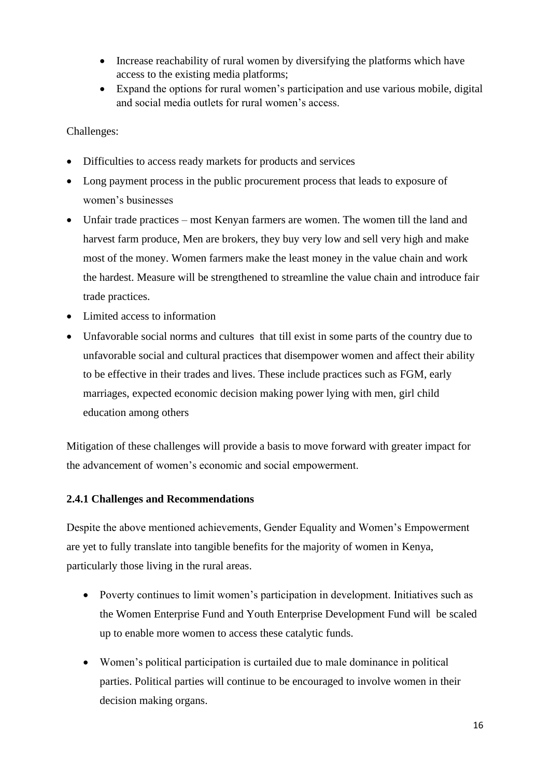- Increase reachability of rural women by diversifying the platforms which have access to the existing media platforms;
- Expand the options for rural women's participation and use various mobile, digital and social media outlets for rural women's access.

Challenges:

- Difficulties to access ready markets for products and services
- Long payment process in the public procurement process that leads to exposure of women's businesses
- Unfair trade practices most Kenyan farmers are women. The women till the land and harvest farm produce, Men are brokers, they buy very low and sell very high and make most of the money. Women farmers make the least money in the value chain and work the hardest. Measure will be strengthened to streamline the value chain and introduce fair trade practices.
- Limited access to information
- Unfavorable social norms and cultures that till exist in some parts of the country due to unfavorable social and cultural practices that disempower women and affect their ability to be effective in their trades and lives. These include practices such as FGM, early marriages, expected economic decision making power lying with men, girl child education among others

Mitigation of these challenges will provide a basis to move forward with greater impact for the advancement of women's economic and social empowerment.

# **2.4.1 Challenges and Recommendations**

Despite the above mentioned achievements, Gender Equality and Women's Empowerment are yet to fully translate into tangible benefits for the majority of women in Kenya, particularly those living in the rural areas.

- Poverty continues to limit women's participation in development. Initiatives such as the Women Enterprise Fund and Youth Enterprise Development Fund will be scaled up to enable more women to access these catalytic funds.
- Women's political participation is curtailed due to male dominance in political parties. Political parties will continue to be encouraged to involve women in their decision making organs.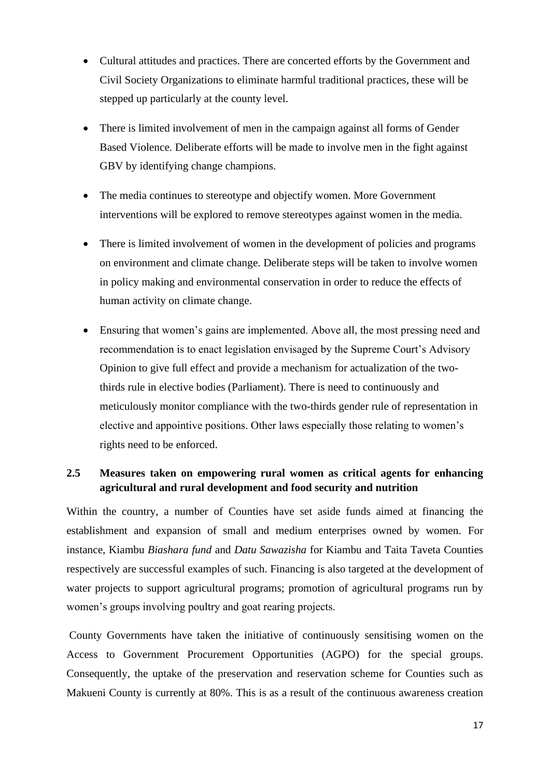- Cultural attitudes and practices. There are concerted efforts by the Government and Civil Society Organizations to eliminate harmful traditional practices, these will be stepped up particularly at the county level.
- There is limited involvement of men in the campaign against all forms of Gender Based Violence. Deliberate efforts will be made to involve men in the fight against GBV by identifying change champions.
- The media continues to stereotype and objectify women. More Government interventions will be explored to remove stereotypes against women in the media.
- There is limited involvement of women in the development of policies and programs on environment and climate change. Deliberate steps will be taken to involve women in policy making and environmental conservation in order to reduce the effects of human activity on climate change.
- Ensuring that women's gains are implemented. Above all, the most pressing need and recommendation is to enact legislation envisaged by the Supreme Court's Advisory Opinion to give full effect and provide a mechanism for actualization of the twothirds rule in elective bodies (Parliament). There is need to continuously and meticulously monitor compliance with the two-thirds gender rule of representation in elective and appointive positions. Other laws especially those relating to women's rights need to be enforced.

# **2.5 Measures taken on empowering rural women as critical agents for enhancing agricultural and rural development and food security and nutrition**

Within the country, a number of Counties have set aside funds aimed at financing the establishment and expansion of small and medium enterprises owned by women. For instance, Kiambu *Biashara fund* and *Datu Sawazisha* for Kiambu and Taita Taveta Counties respectively are successful examples of such. Financing is also targeted at the development of water projects to support agricultural programs; promotion of agricultural programs run by women's groups involving poultry and goat rearing projects.

County Governments have taken the initiative of continuously sensitising women on the Access to Government Procurement Opportunities (AGPO) for the special groups. Consequently, the uptake of the preservation and reservation scheme for Counties such as Makueni County is currently at 80%. This is as a result of the continuous awareness creation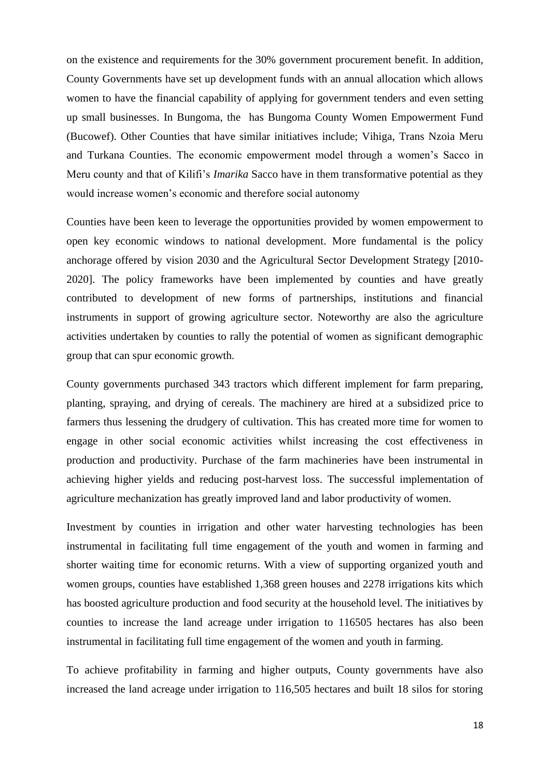on the existence and requirements for the 30% government procurement benefit. In addition, County Governments have set up development funds with an annual allocation which allows women to have the financial capability of applying for government tenders and even setting up small businesses. In Bungoma, the has Bungoma County Women Empowerment Fund (Bucowef). Other Counties that have similar initiatives include; Vihiga, Trans Nzoia Meru and Turkana Counties. The economic empowerment model through a women's Sacco in Meru county and that of Kilifi's *Imarika* Sacco have in them transformative potential as they would increase women's economic and therefore social autonomy

Counties have been keen to leverage the opportunities provided by women empowerment to open key economic windows to national development. More fundamental is the policy anchorage offered by vision 2030 and the Agricultural Sector Development Strategy [2010- 2020]. The policy frameworks have been implemented by counties and have greatly contributed to development of new forms of partnerships, institutions and financial instruments in support of growing agriculture sector. Noteworthy are also the agriculture activities undertaken by counties to rally the potential of women as significant demographic group that can spur economic growth.

County governments purchased 343 tractors which different implement for farm preparing, planting, spraying, and drying of cereals. The machinery are hired at a subsidized price to farmers thus lessening the drudgery of cultivation. This has created more time for women to engage in other social economic activities whilst increasing the cost effectiveness in production and productivity. Purchase of the farm machineries have been instrumental in achieving higher yields and reducing post-harvest loss. The successful implementation of agriculture mechanization has greatly improved land and labor productivity of women.

Investment by counties in irrigation and other water harvesting technologies has been instrumental in facilitating full time engagement of the youth and women in farming and shorter waiting time for economic returns. With a view of supporting organized youth and women groups, counties have established 1,368 green houses and 2278 irrigations kits which has boosted agriculture production and food security at the household level. The initiatives by counties to increase the land acreage under irrigation to 116505 hectares has also been instrumental in facilitating full time engagement of the women and youth in farming.

To achieve profitability in farming and higher outputs, County governments have also increased the land acreage under irrigation to 116,505 hectares and built 18 silos for storing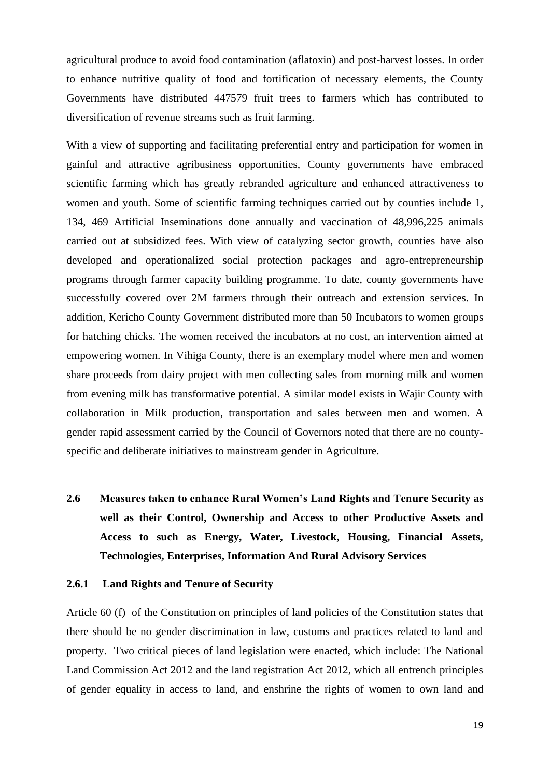agricultural produce to avoid food contamination (aflatoxin) and post-harvest losses. In order to enhance nutritive quality of food and fortification of necessary elements, the County Governments have distributed 447579 fruit trees to farmers which has contributed to diversification of revenue streams such as fruit farming.

With a view of supporting and facilitating preferential entry and participation for women in gainful and attractive agribusiness opportunities, County governments have embraced scientific farming which has greatly rebranded agriculture and enhanced attractiveness to women and youth. Some of scientific farming techniques carried out by counties include 1, 134, 469 Artificial Inseminations done annually and vaccination of 48,996,225 animals carried out at subsidized fees. With view of catalyzing sector growth, counties have also developed and operationalized social protection packages and agro-entrepreneurship programs through farmer capacity building programme. To date, county governments have successfully covered over 2M farmers through their outreach and extension services. In addition, Kericho County Government distributed more than 50 Incubators to women groups for hatching chicks. The women received the incubators at no cost, an intervention aimed at empowering women. In Vihiga County, there is an exemplary model where men and women share proceeds from dairy project with men collecting sales from morning milk and women from evening milk has transformative potential. A similar model exists in Wajir County with collaboration in Milk production, transportation and sales between men and women. A gender rapid assessment carried by the Council of Governors noted that there are no countyspecific and deliberate initiatives to mainstream gender in Agriculture.

**2.6 Measures taken to enhance Rural Women's Land Rights and Tenure Security as well as their Control, Ownership and Access to other Productive Assets and Access to such as Energy, Water, Livestock, Housing, Financial Assets, Technologies, Enterprises, Information And Rural Advisory Services**

#### **2.6.1 Land Rights and Tenure of Security**

Article 60 (f) of the Constitution on principles of land policies of the Constitution states that there should be no gender discrimination in law, customs and practices related to land and property. Two critical pieces of land legislation were enacted, which include: The National Land Commission Act 2012 and the land registration Act 2012, which all entrench principles of gender equality in access to land, and enshrine the rights of women to own land and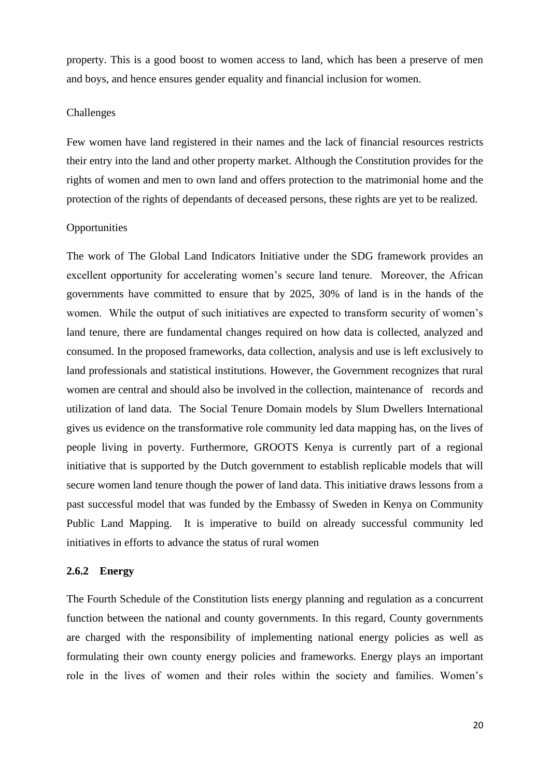property. This is a good boost to women access to land, which has been a preserve of men and boys, and hence ensures gender equality and financial inclusion for women.

#### Challenges

Few women have land registered in their names and the lack of financial resources restricts their entry into the land and other property market. Although the Constitution provides for the rights of women and men to own land and offers protection to the matrimonial home and the protection of the rights of dependants of deceased persons, these rights are yet to be realized.

#### **Opportunities**

The work of The Global Land Indicators Initiative under the SDG framework provides an excellent opportunity for accelerating women's secure land tenure. Moreover, the African governments have committed to ensure that by 2025, 30% of land is in the hands of the women. While the output of such initiatives are expected to transform security of women's land tenure, there are fundamental changes required on how data is collected, analyzed and consumed. In the proposed frameworks, data collection, analysis and use is left exclusively to land professionals and statistical institutions. However, the Government recognizes that rural women are central and should also be involved in the collection, maintenance of records and utilization of land data. The Social Tenure Domain models by Slum Dwellers International gives us evidence on the transformative role community led data mapping has, on the lives of people living in poverty. Furthermore, GROOTS Kenya is currently part of a regional initiative that is supported by the Dutch government to establish replicable models that will secure women land tenure though the power of land data. This initiative draws lessons from a past successful model that was funded by the Embassy of Sweden in Kenya on Community Public Land Mapping. It is imperative to build on already successful community led initiatives in efforts to advance the status of rural women

### **2.6.2 Energy**

The Fourth Schedule of the Constitution lists energy planning and regulation as a concurrent function between the national and county governments. In this regard, County governments are charged with the responsibility of implementing national energy policies as well as formulating their own county energy policies and frameworks. Energy plays an important role in the lives of women and their roles within the society and families. Women's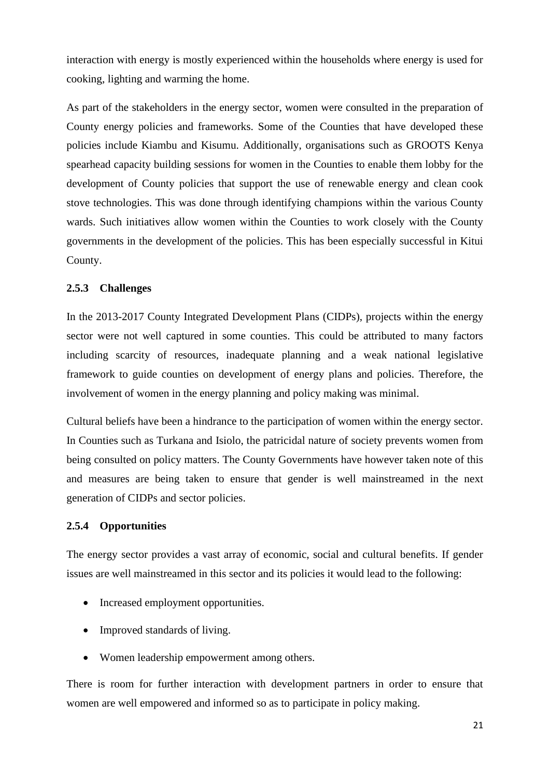interaction with energy is mostly experienced within the households where energy is used for cooking, lighting and warming the home.

As part of the stakeholders in the energy sector, women were consulted in the preparation of County energy policies and frameworks. Some of the Counties that have developed these policies include Kiambu and Kisumu. Additionally, organisations such as GROOTS Kenya spearhead capacity building sessions for women in the Counties to enable them lobby for the development of County policies that support the use of renewable energy and clean cook stove technologies. This was done through identifying champions within the various County wards. Such initiatives allow women within the Counties to work closely with the County governments in the development of the policies. This has been especially successful in Kitui County.

### **2.5.3 Challenges**

In the 2013-2017 County Integrated Development Plans (CIDPs), projects within the energy sector were not well captured in some counties. This could be attributed to many factors including scarcity of resources, inadequate planning and a weak national legislative framework to guide counties on development of energy plans and policies. Therefore, the involvement of women in the energy planning and policy making was minimal.

Cultural beliefs have been a hindrance to the participation of women within the energy sector. In Counties such as Turkana and Isiolo, the patricidal nature of society prevents women from being consulted on policy matters. The County Governments have however taken note of this and measures are being taken to ensure that gender is well mainstreamed in the next generation of CIDPs and sector policies.

#### **2.5.4 Opportunities**

The energy sector provides a vast array of economic, social and cultural benefits. If gender issues are well mainstreamed in this sector and its policies it would lead to the following:

- Increased employment opportunities.
- Improved standards of living.
- Women leadership empowerment among others.

There is room for further interaction with development partners in order to ensure that women are well empowered and informed so as to participate in policy making.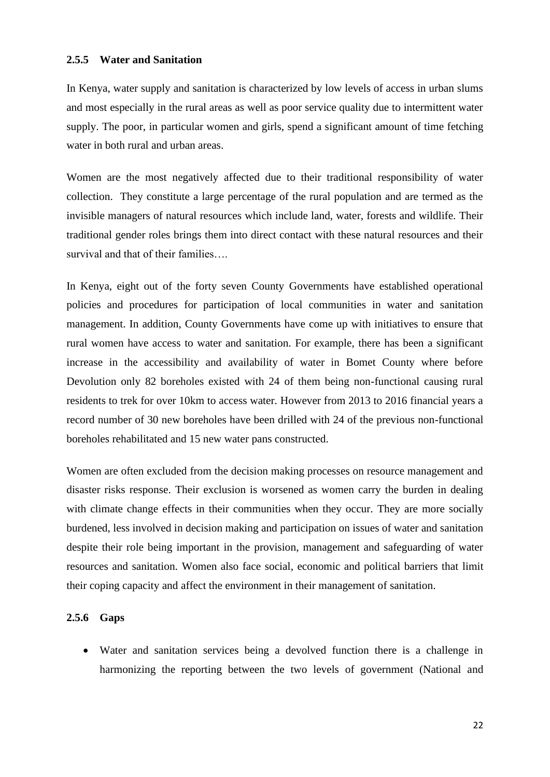#### **2.5.5 Water and Sanitation**

In Kenya, water supply and sanitation is characterized by low levels of access in urban slums and most especially in the rural areas as well as poor service quality due to intermittent water supply. The poor, in particular women and girls, spend a significant amount of time fetching water in both rural and urban areas.

Women are the most negatively affected due to their traditional responsibility of water collection. They constitute a large percentage of the rural population and are termed as the invisible managers of natural resources which include land, water, forests and wildlife. Their traditional gender roles brings them into direct contact with these natural resources and their survival and that of their families….

In Kenya, eight out of the forty seven County Governments have established operational policies and procedures for participation of local communities in water and sanitation management. In addition, County Governments have come up with initiatives to ensure that rural women have access to water and sanitation. For example, there has been a significant increase in the accessibility and availability of water in Bomet County where before Devolution only 82 boreholes existed with 24 of them being non-functional causing rural residents to trek for over 10km to access water. However from 2013 to 2016 financial years a record number of 30 new boreholes have been drilled with 24 of the previous non-functional boreholes rehabilitated and 15 new water pans constructed.

Women are often excluded from the decision making processes on resource management and disaster risks response. Their exclusion is worsened as women carry the burden in dealing with climate change effects in their communities when they occur. They are more socially burdened, less involved in decision making and participation on issues of water and sanitation despite their role being important in the provision, management and safeguarding of water resources and sanitation. Women also face social, economic and political barriers that limit their coping capacity and affect the environment in their management of sanitation.

#### **2.5.6 Gaps**

• Water and sanitation services being a devolved function there is a challenge in harmonizing the reporting between the two levels of government (National and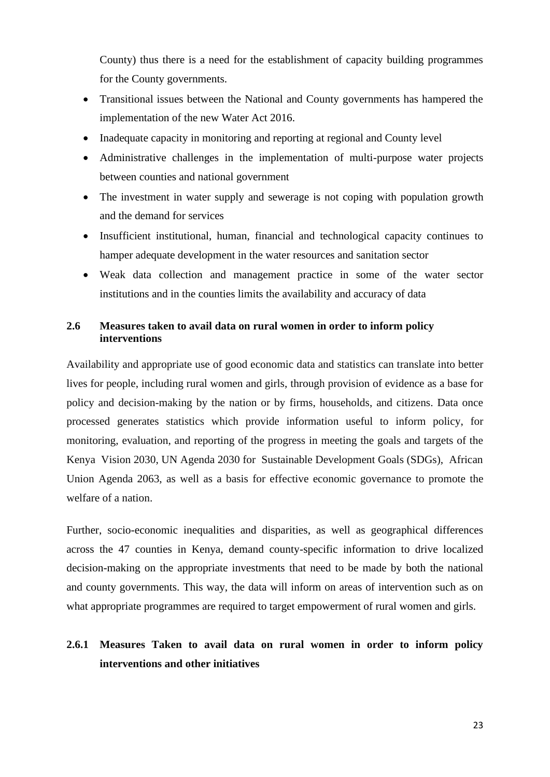County) thus there is a need for the establishment of capacity building programmes for the County governments.

- Transitional issues between the National and County governments has hampered the implementation of the new Water Act 2016.
- Inadequate capacity in monitoring and reporting at regional and County level
- Administrative challenges in the implementation of multi-purpose water projects between counties and national government
- The investment in water supply and sewerage is not coping with population growth and the demand for services
- Insufficient institutional, human, financial and technological capacity continues to hamper adequate development in the water resources and sanitation sector
- Weak data collection and management practice in some of the water sector institutions and in the counties limits the availability and accuracy of data

### **2.6 Measures taken to avail data on rural women in order to inform policy interventions**

Availability and appropriate use of good economic data and statistics can translate into better lives for people, including rural women and girls, through provision of evidence as a base for policy and decision-making by the nation or by firms, households, and citizens. Data once processed generates statistics which provide information useful to inform policy, for monitoring, evaluation, and reporting of the progress in meeting the goals and targets of the Kenya Vision 2030, UN Agenda 2030 for Sustainable Development Goals (SDGs), African Union Agenda 2063, as well as a basis for effective economic governance to promote the welfare of a nation.

Further, socio-economic inequalities and disparities, as well as geographical differences across the 47 counties in Kenya, demand county-specific information to drive localized decision-making on the appropriate investments that need to be made by both the national and county governments. This way, the data will inform on areas of intervention such as on what appropriate programmes are required to target empowerment of rural women and girls.

# **2.6.1 Measures Taken to avail data on rural women in order to inform policy interventions and other initiatives**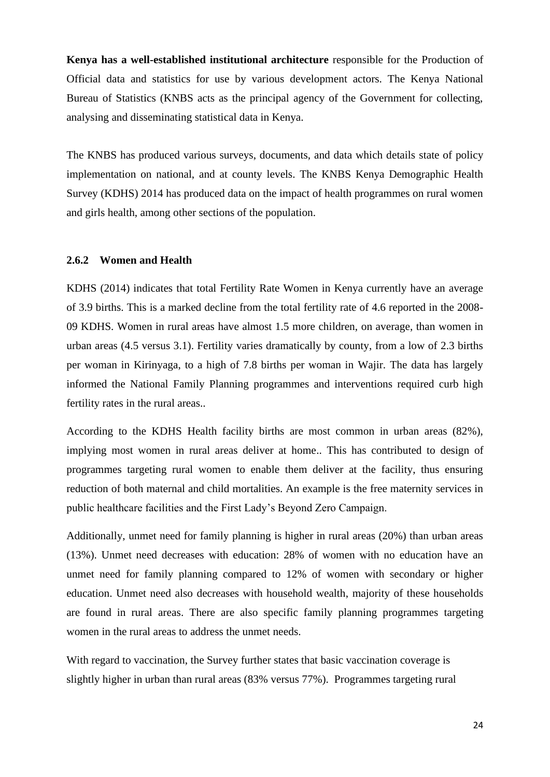**Kenya has a well-established institutional architecture** responsible for the Production of Official data and statistics for use by various development actors. The Kenya National Bureau of Statistics (KNBS acts as the principal agency of the Government for collecting, analysing and disseminating statistical data in Kenya.

The KNBS has produced various surveys, documents, and data which details state of policy implementation on national, and at county levels. The KNBS Kenya Demographic Health Survey (KDHS) 2014 has produced data on the impact of health programmes on rural women and girls health, among other sections of the population.

#### **2.6.2 Women and Health**

KDHS (2014) indicates that total Fertility Rate Women in Kenya currently have an average of 3.9 births. This is a marked decline from the total fertility rate of 4.6 reported in the 2008- 09 KDHS. Women in rural areas have almost 1.5 more children, on average, than women in urban areas (4.5 versus 3.1). Fertility varies dramatically by county, from a low of 2.3 births per woman in Kirinyaga, to a high of 7.8 births per woman in Wajir. The data has largely informed the National Family Planning programmes and interventions required curb high fertility rates in the rural areas..

According to the KDHS Health facility births are most common in urban areas (82%), implying most women in rural areas deliver at home.. This has contributed to design of programmes targeting rural women to enable them deliver at the facility, thus ensuring reduction of both maternal and child mortalities. An example is the free maternity services in public healthcare facilities and the First Lady's Beyond Zero Campaign.

Additionally, unmet need for family planning is higher in rural areas (20%) than urban areas (13%). Unmet need decreases with education: 28% of women with no education have an unmet need for family planning compared to 12% of women with secondary or higher education. Unmet need also decreases with household wealth, majority of these households are found in rural areas. There are also specific family planning programmes targeting women in the rural areas to address the unmet needs.

With regard to vaccination, the Survey further states that basic vaccination coverage is slightly higher in urban than rural areas (83% versus 77%). Programmes targeting rural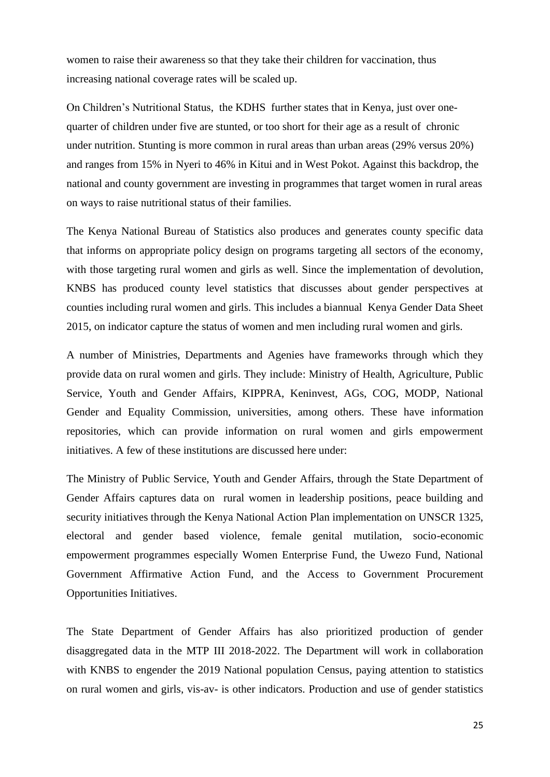women to raise their awareness so that they take their children for vaccination, thus increasing national coverage rates will be scaled up.

On Children's Nutritional Status, the KDHS further states that in Kenya, just over onequarter of children under five are stunted, or too short for their age as a result of chronic under nutrition. Stunting is more common in rural areas than urban areas (29% versus 20%) and ranges from 15% in Nyeri to 46% in Kitui and in West Pokot. Against this backdrop, the national and county government are investing in programmes that target women in rural areas on ways to raise nutritional status of their families.

The Kenya National Bureau of Statistics also produces and generates county specific data that informs on appropriate policy design on programs targeting all sectors of the economy, with those targeting rural women and girls as well. Since the implementation of devolution, KNBS has produced county level statistics that discusses about gender perspectives at counties including rural women and girls. This includes a biannual Kenya Gender Data Sheet 2015, on indicator capture the status of women and men including rural women and girls.

A number of Ministries, Departments and Agenies have frameworks through which they provide data on rural women and girls. They include: Ministry of Health, Agriculture, Public Service, Youth and Gender Affairs, KIPPRA, Keninvest, AGs, COG, MODP, National Gender and Equality Commission, universities, among others. These have information repositories, which can provide information on rural women and girls empowerment initiatives. A few of these institutions are discussed here under:

The Ministry of Public Service, Youth and Gender Affairs, through the State Department of Gender Affairs captures data on rural women in leadership positions, peace building and security initiatives through the Kenya National Action Plan implementation on UNSCR 1325, electoral and gender based violence, female genital mutilation, socio-economic empowerment programmes especially Women Enterprise Fund, the Uwezo Fund, National Government Affirmative Action Fund, and the Access to Government Procurement Opportunities Initiatives.

The State Department of Gender Affairs has also prioritized production of gender disaggregated data in the MTP III 2018-2022. The Department will work in collaboration with KNBS to engender the 2019 National population Census, paying attention to statistics on rural women and girls, vis-av- is other indicators. Production and use of gender statistics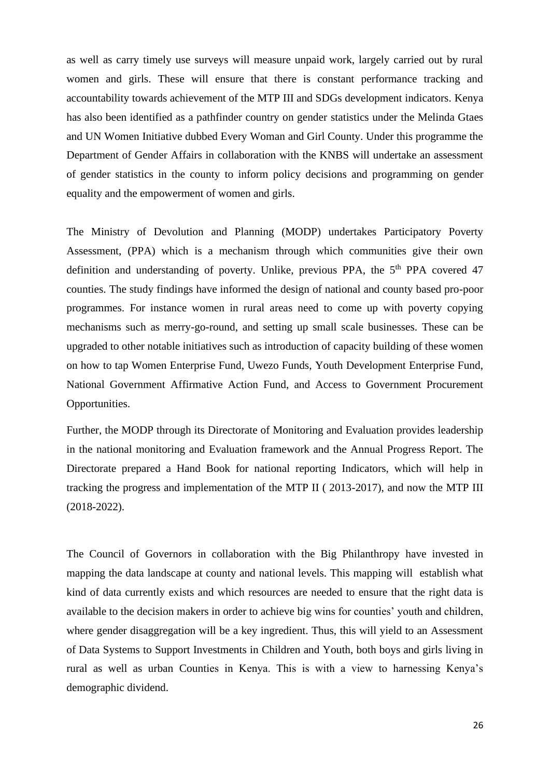as well as carry timely use surveys will measure unpaid work, largely carried out by rural women and girls. These will ensure that there is constant performance tracking and accountability towards achievement of the MTP III and SDGs development indicators. Kenya has also been identified as a pathfinder country on gender statistics under the Melinda Gtaes and UN Women Initiative dubbed Every Woman and Girl County. Under this programme the Department of Gender Affairs in collaboration with the KNBS will undertake an assessment of gender statistics in the county to inform policy decisions and programming on gender equality and the empowerment of women and girls.

The Ministry of Devolution and Planning (MODP) undertakes Participatory Poverty Assessment, (PPA) which is a mechanism through which communities give their own definition and understanding of poverty. Unlike, previous PPA, the 5<sup>th</sup> PPA covered 47 counties. The study findings have informed the design of national and county based pro-poor programmes. For instance women in rural areas need to come up with poverty copying mechanisms such as merry-go-round, and setting up small scale businesses. These can be upgraded to other notable initiatives such as introduction of capacity building of these women on how to tap Women Enterprise Fund, Uwezo Funds, Youth Development Enterprise Fund, National Government Affirmative Action Fund, and Access to Government Procurement Opportunities.

Further, the MODP through its Directorate of Monitoring and Evaluation provides leadership in the national monitoring and Evaluation framework and the Annual Progress Report. The Directorate prepared a Hand Book for national reporting Indicators, which will help in tracking the progress and implementation of the MTP II ( 2013-2017), and now the MTP III (2018-2022).

The Council of Governors in collaboration with the Big Philanthropy have invested in mapping the data landscape at county and national levels. This mapping will establish what kind of data currently exists and which resources are needed to ensure that the right data is available to the decision makers in order to achieve big wins for counties' youth and children, where gender disaggregation will be a key ingredient. Thus, this will yield to an Assessment of Data Systems to Support Investments in Children and Youth, both boys and girls living in rural as well as urban Counties in Kenya. This is with a view to harnessing Kenya's demographic dividend.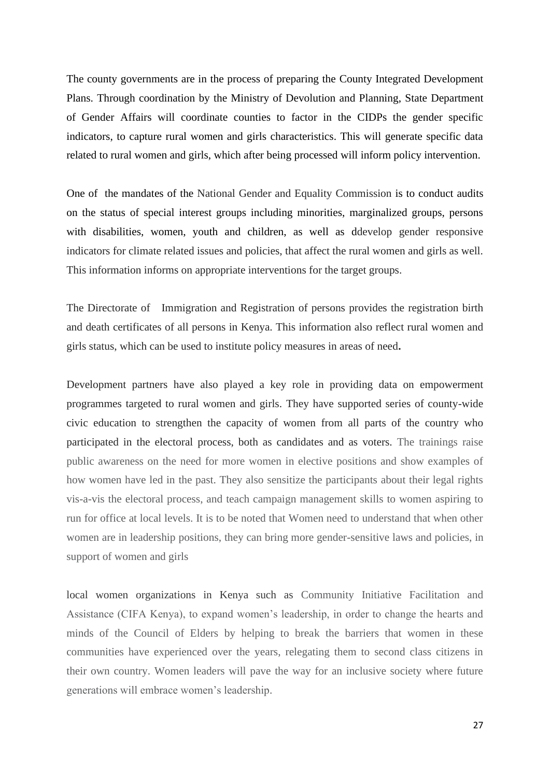The county governments are in the process of preparing the County Integrated Development Plans. Through coordination by the Ministry of Devolution and Planning, State Department of Gender Affairs will coordinate counties to factor in the CIDPs the gender specific indicators, to capture rural women and girls characteristics. This will generate specific data related to rural women and girls, which after being processed will inform policy intervention.

One of the mandates of the National Gender and Equality Commission is to conduct audits on the status of special interest groups including minorities, marginalized groups, persons with disabilities, women, youth and children, as well as ddevelop gender responsive indicators for climate related issues and policies, that affect the rural women and girls as well. This information informs on appropriate interventions for the target groups.

The Directorate of Immigration and Registration of persons provides the registration birth and death certificates of all persons in Kenya. This information also reflect rural women and girls status, which can be used to institute policy measures in areas of need**.**

Development partners have also played a key role in providing data on empowerment programmes targeted to rural women and girls. They have supported series of county-wide civic education to strengthen the capacity of women from all parts of the country who participated in the electoral process, both as candidates and as voters. The trainings raise public awareness on the need for more women in elective positions and show examples of how women have led in the past. They also sensitize the participants about their legal rights vis-a-vis the electoral process, and teach campaign management skills to women aspiring to run for office at local levels. It is to be noted that Women need to understand that when other women are in leadership positions, they can bring more gender-sensitive laws and policies, in support of women and girls

local women organizations in Kenya such as Community Initiative Facilitation and Assistance (CIFA Kenya), to expand women's leadership, in order to change the hearts and minds of the Council of Elders by helping to break the barriers that women in these communities have experienced over the years, relegating them to second class citizens in their own country. Women leaders will pave the way for an inclusive society where future generations will embrace women's leadership.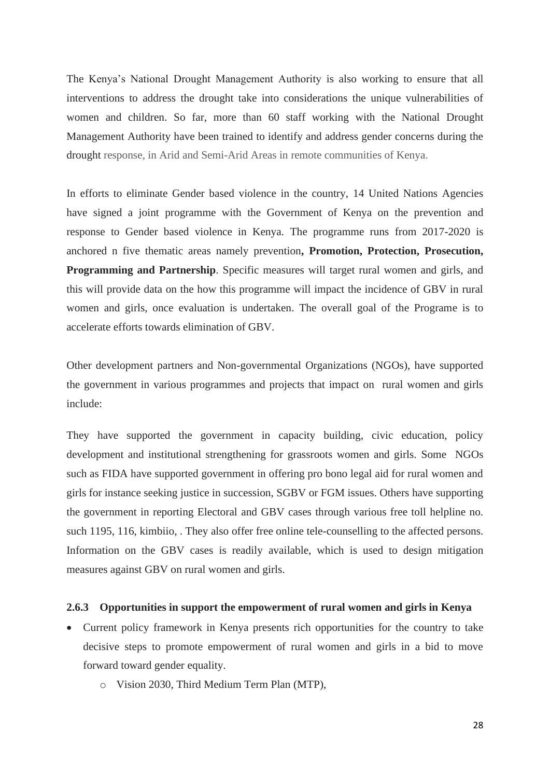The Kenya's National Drought Management Authority is also working to ensure that all interventions to address the drought take into considerations the unique vulnerabilities of women and children. So far, more than 60 staff working with the National Drought Management Authority have been trained to identify and address gender concerns during the drought response, in Arid and Semi-Arid Areas in remote communities of Kenya.

In efforts to eliminate Gender based violence in the country, 14 United Nations Agencies have signed a joint programme with the Government of Kenya on the prevention and response to Gender based violence in Kenya. The programme runs from 2017-2020 is anchored n five thematic areas namely prevention**, Promotion, Protection, Prosecution, Programming and Partnership**. Specific measures will target rural women and girls, and this will provide data on the how this programme will impact the incidence of GBV in rural women and girls, once evaluation is undertaken. The overall goal of the Programe is to accelerate efforts towards elimination of GBV.

Other development partners and Non-governmental Organizations (NGOs), have supported the government in various programmes and projects that impact on rural women and girls include:

They have supported the government in capacity building, civic education, policy development and institutional strengthening for grassroots women and girls. Some NGOs such as FIDA have supported government in offering pro bono legal aid for rural women and girls for instance seeking justice in succession, SGBV or FGM issues. Others have supporting the government in reporting Electoral and GBV cases through various free toll helpline no. such 1195, 116, kimbiio, . They also offer free online tele-counselling to the affected persons. Information on the GBV cases is readily available, which is used to design mitigation measures against GBV on rural women and girls.

#### **2.6.3 Opportunities in support the empowerment of rural women and girls in Kenya**

- Current policy framework in Kenya presents rich opportunities for the country to take decisive steps to promote empowerment of rural women and girls in a bid to move forward toward gender equality.
	- o Vision 2030, Third Medium Term Plan (MTP),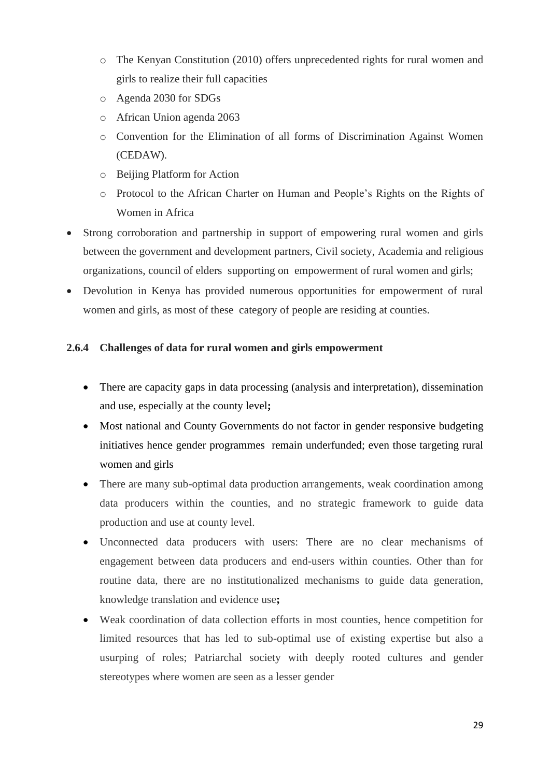- o The Kenyan Constitution (2010) offers unprecedented rights for rural women and girls to realize their full capacities
- o Agenda 2030 for SDGs
- o African Union agenda 2063
- o Convention for the Elimination of all forms of Discrimination Against Women (CEDAW).
- o Beijing Platform for Action
- o Protocol to the African Charter on Human and People's Rights on the Rights of Women in Africa
- Strong corroboration and partnership in support of empowering rural women and girls between the government and development partners, Civil society, Academia and religious organizations, council of elders supporting on empowerment of rural women and girls;
- Devolution in Kenya has provided numerous opportunities for empowerment of rural women and girls, as most of these category of people are residing at counties.

# **2.6.4 Challenges of data for rural women and girls empowerment**

- There are capacity gaps in data processing (analysis and interpretation), dissemination and use, especially at the county level**;**
- Most national and County Governments do not factor in gender responsive budgeting initiatives hence gender programmes remain underfunded; even those targeting rural women and girls
- There are many sub-optimal data production arrangements, weak coordination among data producers within the counties, and no strategic framework to guide data production and use at county level.
- Unconnected data producers with users: There are no clear mechanisms of engagement between data producers and end-users within counties. Other than for routine data, there are no institutionalized mechanisms to guide data generation, knowledge translation and evidence use**;**
- Weak coordination of data collection efforts in most counties, hence competition for limited resources that has led to sub-optimal use of existing expertise but also a usurping of roles; Patriarchal society with deeply rooted cultures and gender stereotypes where women are seen as a lesser gender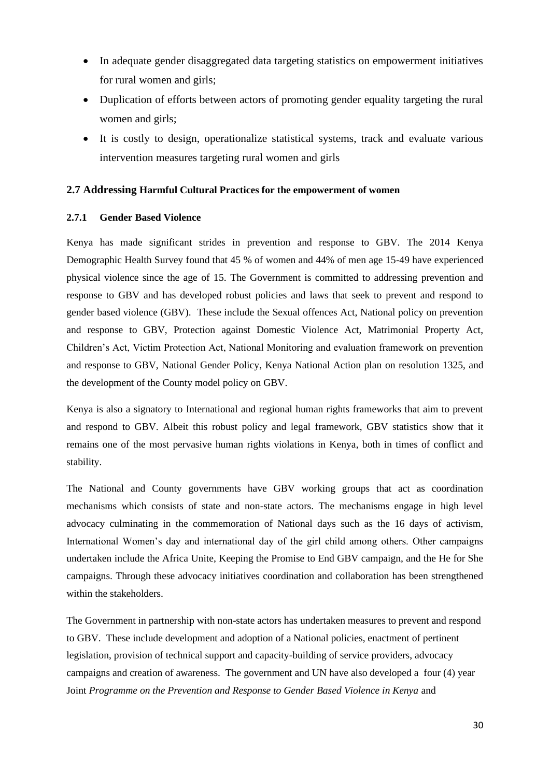- In adequate gender disaggregated data targeting statistics on empowerment initiatives for rural women and girls;
- Duplication of efforts between actors of promoting gender equality targeting the rural women and girls;
- It is costly to design, operationalize statistical systems, track and evaluate various intervention measures targeting rural women and girls

#### **2.7 Addressing Harmful Cultural Practices for the empowerment of women**

#### **2.7.1 Gender Based Violence**

Kenya has made significant strides in prevention and response to GBV. The 2014 Kenya Demographic Health Survey found that 45 % of women and 44% of men age 15-49 have experienced physical violence since the age of 15. The Government is committed to addressing prevention and response to GBV and has developed robust policies and laws that seek to prevent and respond to gender based violence (GBV). These include the Sexual offences Act, National policy on prevention and response to GBV, Protection against Domestic Violence Act, Matrimonial Property Act, Children's Act, Victim Protection Act, National Monitoring and evaluation framework on prevention and response to GBV, National Gender Policy, Kenya National Action plan on resolution 1325, and the development of the County model policy on GBV.

Kenya is also a signatory to International and regional human rights frameworks that aim to prevent and respond to GBV. Albeit this robust policy and legal framework, GBV statistics show that it remains one of the most pervasive human rights violations in Kenya, both in times of conflict and stability.

The National and County governments have GBV working groups that act as coordination mechanisms which consists of state and non-state actors. The mechanisms engage in high level advocacy culminating in the commemoration of National days such as the 16 days of activism, International Women's day and international day of the girl child among others. Other campaigns undertaken include the Africa Unite, Keeping the Promise to End GBV campaign, and the He for She campaigns. Through these advocacy initiatives coordination and collaboration has been strengthened within the stakeholders.

The Government in partnership with non-state actors has undertaken measures to prevent and respond to GBV. These include development and adoption of a National policies, enactment of pertinent legislation, provision of technical support and capacity-building of service providers, advocacy campaigns and creation of awareness. The government and UN have also developed a four (4) year Joint *Programme on the Prevention and Response to Gender Based Violence in Kenya* and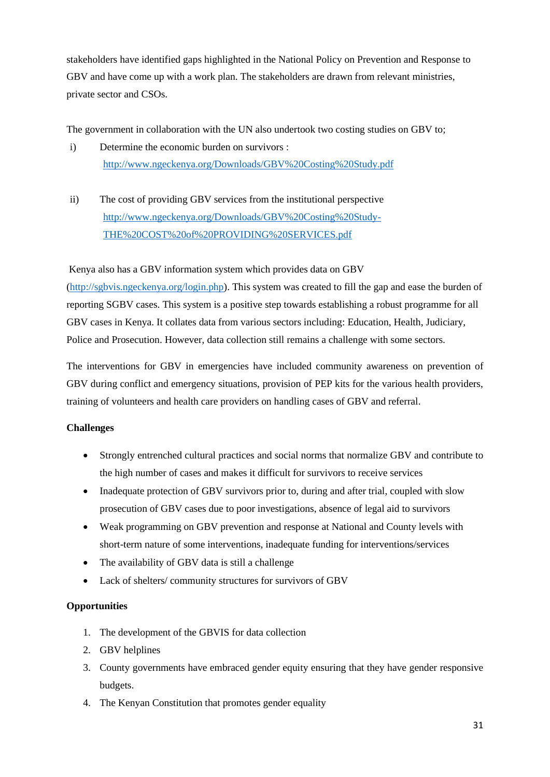stakeholders have identified gaps highlighted in the National Policy on Prevention and Response to GBV and have come up with a work plan. The stakeholders are drawn from relevant ministries, private sector and CSOs.

The government in collaboration with the UN also undertook two costing studies on GBV to;

- i) Determine the economic burden on survivors : <http://www.ngeckenya.org/Downloads/GBV%20Costing%20Study.pdf>
- ii) The cost of providing GBV services from the institutional perspective [http://www.ngeckenya.org/Downloads/GBV%20Costing%20Study-](http://www.ngeckenya.org/Downloads/GBV%20Costing%20Study-THE%20COST%20of%20PROVIDING%20SERVICES.pdf)[THE%20COST%20of%20PROVIDING%20SERVICES.pdf](http://www.ngeckenya.org/Downloads/GBV%20Costing%20Study-THE%20COST%20of%20PROVIDING%20SERVICES.pdf)

Kenya also has a GBV information system which provides data on GBV

[\(http://sgbvis.ngeckenya.org/login.php\)](http://sgbvis.ngeckenya.org/login.php). This system was created to fill the gap and ease the burden of reporting SGBV cases. This system is a positive step towards establishing a robust programme for all GBV cases in Kenya. It collates data from various sectors including: Education, Health, Judiciary, Police and Prosecution. However, data collection still remains a challenge with some sectors.

The interventions for GBV in emergencies have included community awareness on prevention of GBV during conflict and emergency situations, provision of PEP kits for the various health providers, training of volunteers and health care providers on handling cases of GBV and referral.

#### **Challenges**

- Strongly entrenched cultural practices and social norms that normalize GBV and contribute to the high number of cases and makes it difficult for survivors to receive services
- Inadequate protection of GBV survivors prior to, during and after trial, coupled with slow prosecution of GBV cases due to poor investigations, absence of legal aid to survivors
- Weak programming on GBV prevention and response at National and County levels with short-term nature of some interventions, inadequate funding for interventions/services
- The availability of GBV data is still a challenge
- Lack of shelters/ community structures for survivors of GBV

#### **Opportunities**

- 1. The development of the GBVIS for data collection
- 2. GBV helplines
- 3. County governments have embraced gender equity ensuring that they have gender responsive budgets.
- 4. The Kenyan Constitution that promotes gender equality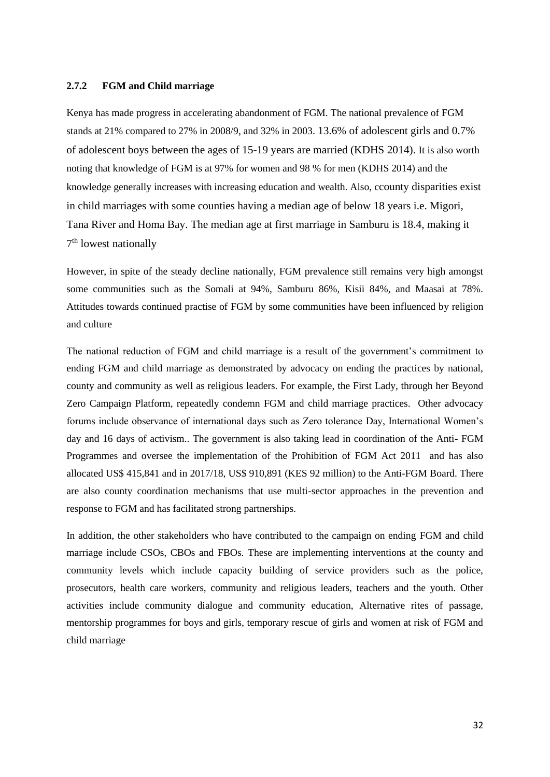#### **2.7.2 FGM and Child marriage**

Kenya has made progress in accelerating abandonment of FGM. The national prevalence of FGM stands at 21% compared to 27% in 2008/9, and 32% in 2003. 13.6% of adolescent girls and 0.7% of adolescent boys between the ages of 15-19 years are married (KDHS 2014). It is also worth noting that knowledge of FGM is at 97% for women and 98 % for men (KDHS 2014) and the knowledge generally increases with increasing education and wealth. Also, ccounty disparities exist in child marriages with some counties having a median age of below 18 years i.e. Migori, Tana River and Homa Bay. The median age at first marriage in Samburu is 18.4, making it 7<sup>th</sup> lowest nationally

However, in spite of the steady decline nationally, FGM prevalence still remains very high amongst some communities such as the Somali at 94%, Samburu 86%, Kisii 84%, and Maasai at 78%. Attitudes towards continued practise of FGM by some communities have been influenced by religion and culture

The national reduction of FGM and child marriage is a result of the government's commitment to ending FGM and child marriage as demonstrated by advocacy on ending the practices by national, county and community as well as religious leaders. For example, the First Lady, through her Beyond Zero Campaign Platform, repeatedly condemn FGM and child marriage practices. Other advocacy forums include observance of international days such as Zero tolerance Day, International Women's day and 16 days of activism.. The government is also taking lead in coordination of the Anti- FGM Programmes and oversee the implementation of the Prohibition of FGM Act 2011 and has also allocated US\$ 415,841 and in 2017/18, US\$ 910,891 (KES 92 million) to the Anti-FGM Board. There are also county coordination mechanisms that use multi-sector approaches in the prevention and response to FGM and has facilitated strong partnerships.

In addition, the other stakeholders who have contributed to the campaign on ending FGM and child marriage include CSOs, CBOs and FBOs. These are implementing interventions at the county and community levels which include capacity building of service providers such as the police, prosecutors, health care workers, community and religious leaders, teachers and the youth. Other activities include community dialogue and community education, Alternative rites of passage, mentorship programmes for boys and girls, temporary rescue of girls and women at risk of FGM and child marriage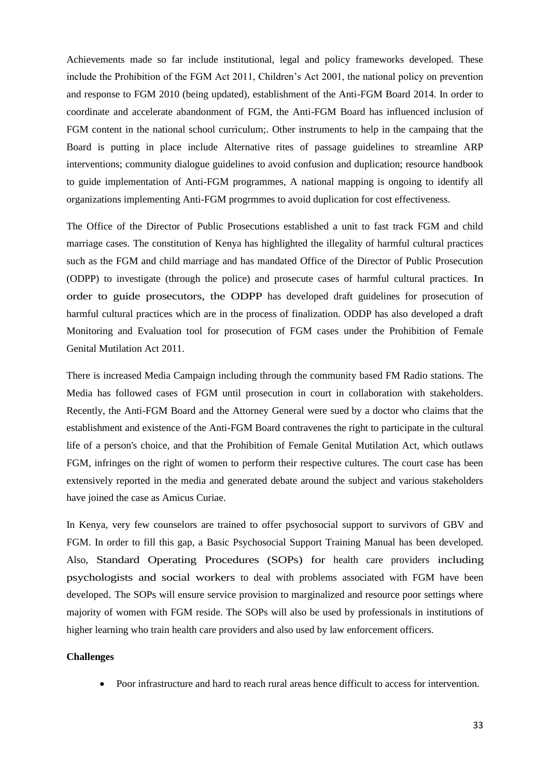Achievements made so far include institutional, legal and policy frameworks developed. These include the Prohibition of the FGM Act 2011, Children's Act 2001, the national policy on prevention and response to FGM 2010 (being updated), establishment of the Anti-FGM Board 2014. In order to coordinate and accelerate abandonment of FGM, the Anti-FGM Board has influenced inclusion of FGM content in the national school curriculum;. Other instruments to help in the campaing that the Board is putting in place include Alternative rites of passage guidelines to streamline ARP interventions; community dialogue guidelines to avoid confusion and duplication; resource handbook to guide implementation of Anti-FGM programmes, A national mapping is ongoing to identify all organizations implementing Anti-FGM progrmmes to avoid duplication for cost effectiveness.

The Office of the Director of Public Prosecutions established a unit to fast track FGM and child marriage cases. The constitution of Kenya has highlighted the illegality of harmful cultural practices such as the FGM and child marriage and has mandated Office of the Director of Public Prosecution (ODPP) to investigate (through the police) and prosecute cases of harmful cultural practices. In order to guide prosecutors, the ODPP has developed draft guidelines for prosecution of harmful cultural practices which are in the process of finalization. ODDP has also developed a draft Monitoring and Evaluation tool for prosecution of FGM cases under the Prohibition of Female Genital Mutilation Act 2011.

There is increased Media Campaign including through the community based FM Radio stations. The Media has followed cases of FGM until prosecution in court in collaboration with stakeholders. Recently, the Anti-FGM Board and the Attorney General were sued by a doctor who claims that the establishment and existence of the Anti-FGM Board contravenes the right to participate in the cultural life of a person's choice, and that the Prohibition of Female Genital Mutilation Act, which outlaws FGM, infringes on the right of women to perform their respective cultures. The court case has been extensively reported in the media and generated debate around the subject and various stakeholders have joined the case as Amicus Curiae.

In Kenya, very few counselors are trained to offer psychosocial support to survivors of GBV and FGM. In order to fill this gap, a Basic Psychosocial Support Training Manual has been developed. Also, Standard Operating Procedures (SOPs) for health care providers including psychologists and social workers to deal with problems associated with FGM have been developed. The SOPs will ensure service provision to marginalized and resource poor settings where majority of women with FGM reside. The SOPs will also be used by professionals in institutions of higher learning who train health care providers and also used by law enforcement officers.

#### **Challenges**

• Poor infrastructure and hard to reach rural areas hence difficult to access for intervention.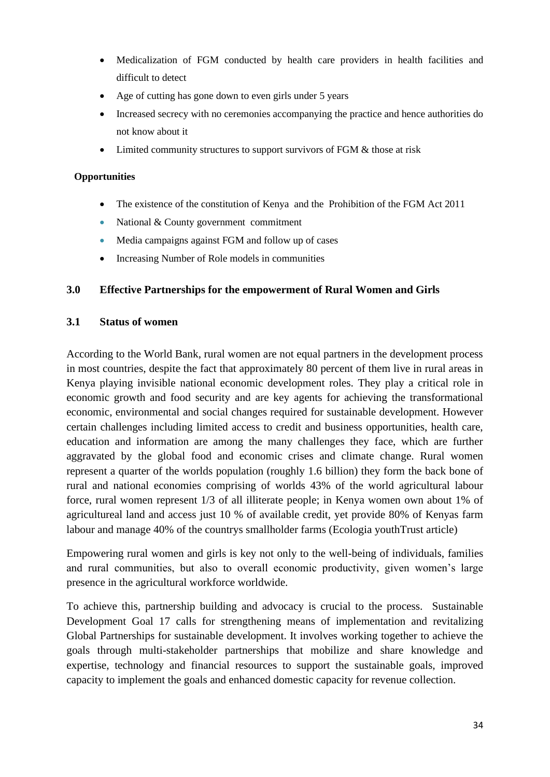- Medicalization of FGM conducted by health care providers in health facilities and difficult to detect
- Age of cutting has gone down to even girls under 5 years
- Increased secrecy with no ceremonies accompanying the practice and hence authorities do not know about it
- Limited community structures to support survivors of FGM & those at risk

#### **Opportunities**

- The existence of the constitution of Kenya and the Prohibition of the FGM Act 2011
- National & County government commitment
- Media campaigns against FGM and follow up of cases
- Increasing Number of Role models in communities

### **3.0 Effective Partnerships for the empowerment of Rural Women and Girls**

#### **3.1 Status of women**

According to the World Bank, rural women are not equal partners in the development process in most countries, despite the fact that approximately 80 percent of them live in rural areas in Kenya playing invisible national economic development roles. They play a critical role in economic growth and food security and are key agents for achieving the transformational economic, environmental and social changes required for sustainable development. However certain challenges including limited access to credit and business opportunities, health care, education and information are among the many challenges they face, which are further aggravated by the global food and economic crises and climate change. Rural women represent a quarter of the worlds population (roughly 1.6 billion) they form the back bone of rural and national economies comprising of worlds 43% of the world agricultural labour force, rural women represent 1/3 of all illiterate people; in Kenya women own about 1% of agricultureal land and access just 10 % of available credit, yet provide 80% of Kenyas farm labour and manage 40% of the countrys smallholder farms (Ecologia youthTrust article)

Empowering rural women and girls is key not only to the well-being of individuals, families and rural communities, but also to overall economic productivity, given women's large presence in the agricultural workforce worldwide.

To achieve this, partnership building and advocacy is crucial to the process. Sustainable Development Goal 17 calls for strengthening means of implementation and revitalizing Global Partnerships for sustainable development. It involves working together to achieve the goals through multi-stakeholder partnerships that mobilize and share knowledge and expertise, technology and financial resources to support the sustainable goals, improved capacity to implement the goals and enhanced domestic capacity for revenue collection.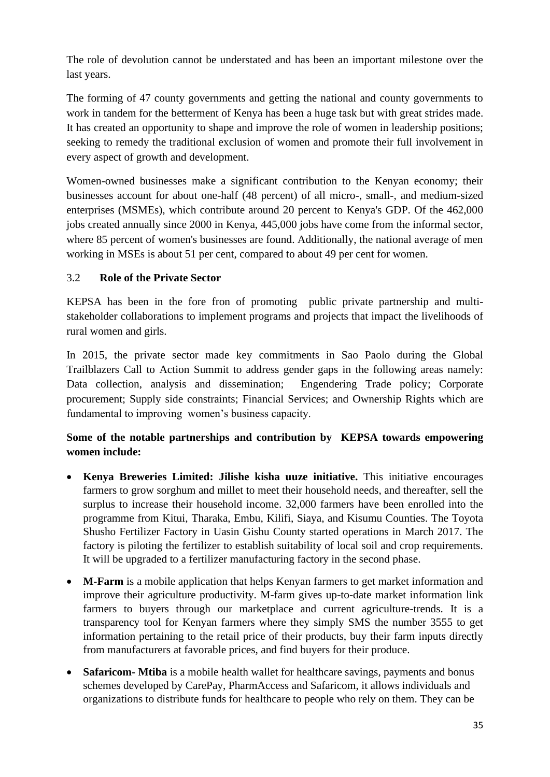The role of devolution cannot be understated and has been an important milestone over the last years.

The forming of 47 county governments and getting the national and county governments to work in tandem for the betterment of Kenya has been a huge task but with great strides made. It has created an opportunity to shape and improve the role of women in leadership positions; seeking to remedy the traditional exclusion of women and promote their full involvement in every aspect of growth and development.

Women-owned businesses make a significant contribution to the Kenyan economy; their businesses account for about one-half (48 percent) of all micro-, small-, and medium-sized enterprises (MSMEs), which contribute around 20 percent to Kenya's GDP. Of the 462,000 jobs created annually since 2000 in Kenya, 445,000 jobs have come from the informal sector, where 85 percent of women's businesses are found. Additionally, the national average of men working in MSEs is about 51 per cent, compared to about 49 per cent for women.

# 3.2 **Role of the Private Sector**

KEPSA has been in the fore fron of promoting public private partnership and multistakeholder collaborations to implement programs and projects that impact the livelihoods of rural women and girls.

In 2015, the private sector made key commitments in Sao Paolo during the Global Trailblazers Call to Action Summit to address gender gaps in the following areas namely: Data collection, analysis and dissemination; Engendering Trade policy; Corporate procurement; Supply side constraints; Financial Services; and Ownership Rights which are fundamental to improving women's business capacity.

# **Some of the notable partnerships and contribution by KEPSA towards empowering women include:**

- **Kenya Breweries Limited: Jilishe kisha uuze initiative.** This initiative encourages farmers to grow sorghum and millet to meet their household needs, and thereafter, sell the surplus to increase their household income. 32,000 farmers have been enrolled into the programme from Kitui, Tharaka, Embu, Kilifi, Siaya, and Kisumu Counties. The Toyota Shusho Fertilizer Factory in Uasin Gishu County started operations in March 2017. The factory is piloting the fertilizer to establish suitability of local soil and crop requirements. It will be upgraded to a fertilizer manufacturing factory in the second phase.
- **M-Farm** is a mobile application that helps Kenyan farmers to get market information and improve their agriculture productivity. M-farm gives up-to-date market information link farmers to buyers through our marketplace and current agriculture-trends. It is a transparency tool for Kenyan farmers where they simply SMS the number 3555 to get information pertaining to the retail price of their products, buy their farm inputs directly from manufacturers at favorable prices, and find buyers for their produce.
- **Safaricom- Mtiba** is a mobile health wallet for healthcare savings, payments and bonus schemes developed by CarePay, PharmAccess and Safaricom, it allows individuals and organizations to distribute funds for healthcare to people who rely on them. They can be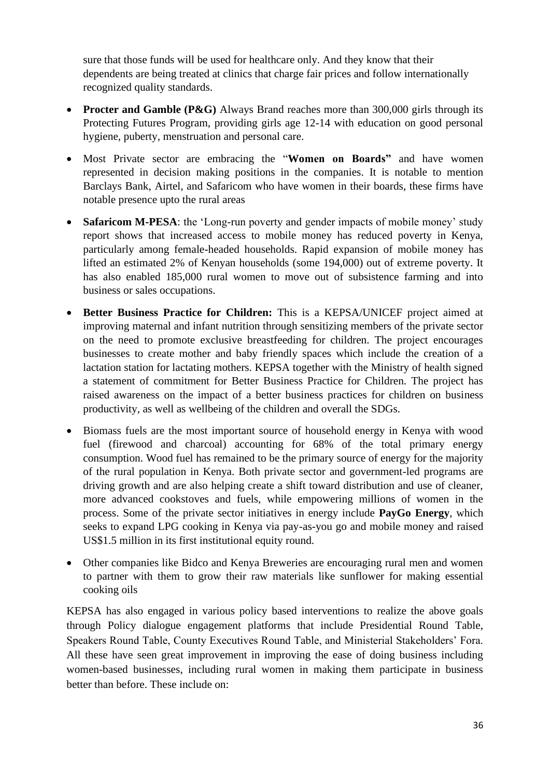sure that those funds will be used for healthcare only. And they know that their dependents are being treated at clinics that charge fair prices and follow internationally recognized quality standards.

- **Procter and Gamble (P&G)** Always Brand reaches more than 300,000 girls through its Protecting Futures Program, providing girls age 12-14 with education on good personal hygiene, puberty, menstruation and personal care.
- Most Private sector are embracing the "**Women on Boards"** and have women represented in decision making positions in the companies. It is notable to mention Barclays Bank, Airtel, and Safaricom who have women in their boards, these firms have notable presence upto the rural areas
- **Safaricom M-PESA**: the 'Long-run poverty and gender impacts of mobile money' study report shows that increased access to mobile money has reduced poverty in Kenya, particularly among female-headed households. Rapid expansion of mobile money has lifted an estimated 2% of Kenyan households (some 194,000) out of extreme poverty. It has also enabled 185,000 rural women to move out of subsistence farming and into business or sales occupations.
- **Better Business Practice for Children:** This is a KEPSA/UNICEF project aimed at improving maternal and infant nutrition through sensitizing members of the private sector on the need to promote exclusive breastfeeding for children. The project encourages businesses to create mother and baby friendly spaces which include the creation of a lactation station for lactating mothers. KEPSA together with the Ministry of health signed a statement of commitment for Better Business Practice for Children. The project has raised awareness on the impact of a better business practices for children on business productivity, as well as wellbeing of the children and overall the SDGs.
- Biomass fuels are the most important source of household energy in Kenya with wood fuel (firewood and charcoal) accounting for 68% of the total primary energy consumption. Wood fuel has remained to be the primary source of energy for the majority of the rural population in Kenya. Both private sector and government-led programs are driving growth and are also helping create a shift toward distribution and use of cleaner, more advanced cookstoves and fuels, while empowering millions of women in the process. Some of the private sector initiatives in energy include **PayGo Energy**, which seeks to expand LPG cooking in Kenya via pay-as-you go and mobile money and raised US\$1.5 million in its first institutional equity round.
- Other companies like Bidco and Kenya Breweries are encouraging rural men and women to partner with them to grow their raw materials like sunflower for making essential cooking oils

KEPSA has also engaged in various policy based interventions to realize the above goals through Policy dialogue engagement platforms that include Presidential Round Table, Speakers Round Table, County Executives Round Table, and Ministerial Stakeholders' Fora. All these have seen great improvement in improving the ease of doing business including women-based businesses, including rural women in making them participate in business better than before. These include on: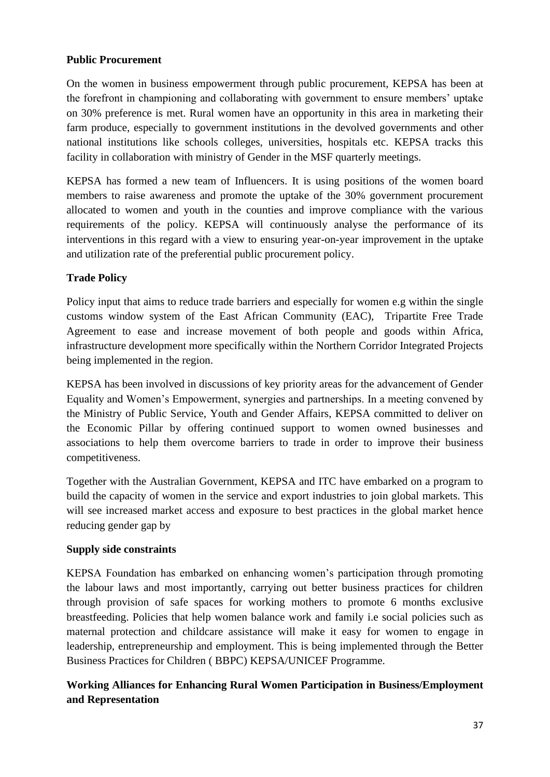# **Public Procurement**

On the women in business empowerment through public procurement, KEPSA has been at the forefront in championing and collaborating with government to ensure members' uptake on 30% preference is met. Rural women have an opportunity in this area in marketing their farm produce, especially to government institutions in the devolved governments and other national institutions like schools colleges, universities, hospitals etc. KEPSA tracks this facility in collaboration with ministry of Gender in the MSF quarterly meetings.

KEPSA has formed a new team of Influencers. It is using positions of the women board members to raise awareness and promote the uptake of the 30% government procurement allocated to women and youth in the counties and improve compliance with the various requirements of the policy. KEPSA will continuously analyse the performance of its interventions in this regard with a view to ensuring year-on-year improvement in the uptake and utilization rate of the preferential public procurement policy.

# **Trade Policy**

Policy input that aims to reduce trade barriers and especially for women e.g within the single customs window system of the East African Community (EAC), Tripartite Free Trade Agreement to ease and increase movement of both people and goods within Africa, infrastructure development more specifically within the Northern Corridor Integrated Projects being implemented in the region.

KEPSA has been involved in discussions of key priority areas for the advancement of Gender Equality and Women's Empowerment, synergies and partnerships. In a meeting convened by the Ministry of Public Service, Youth and Gender Affairs, KEPSA committed to deliver on the Economic Pillar by offering continued support to women owned businesses and associations to help them overcome barriers to trade in order to improve their business competitiveness.

Together with the Australian Government, KEPSA and ITC have embarked on a program to build the capacity of women in the service and export industries to join global markets. This will see increased market access and exposure to best practices in the global market hence reducing gender gap by

# **Supply side constraints**

KEPSA Foundation has embarked on enhancing women's participation through promoting the labour laws and most importantly, carrying out better business practices for children through provision of safe spaces for working mothers to promote 6 months exclusive breastfeeding. Policies that help women balance work and family i.e social policies such as maternal protection and childcare assistance will make it easy for women to engage in leadership, entrepreneurship and employment. This is being implemented through the Better Business Practices for Children ( BBPC) KEPSA/UNICEF Programme.

# **Working Alliances for Enhancing Rural Women Participation in Business/Employment and Representation**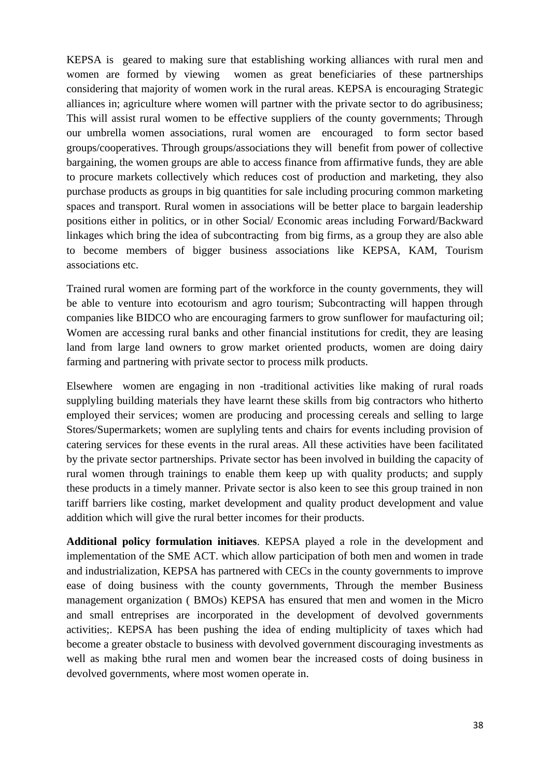KEPSA is geared to making sure that establishing working alliances with rural men and women are formed by viewing women as great beneficiaries of these partnerships considering that majority of women work in the rural areas. KEPSA is encouraging Strategic alliances in; agriculture where women will partner with the private sector to do agribusiness; This will assist rural women to be effective suppliers of the county governments; Through our umbrella women associations, rural women are encouraged to form sector based groups/cooperatives. Through groups/associations they will benefit from power of collective bargaining, the women groups are able to access finance from affirmative funds, they are able to procure markets collectively which reduces cost of production and marketing, they also purchase products as groups in big quantities for sale including procuring common marketing spaces and transport. Rural women in associations will be better place to bargain leadership positions either in politics, or in other Social/ Economic areas including Forward/Backward linkages which bring the idea of subcontracting from big firms, as a group they are also able to become members of bigger business associations like KEPSA, KAM, Tourism associations etc.

Trained rural women are forming part of the workforce in the county governments, they will be able to venture into ecotourism and agro tourism; Subcontracting will happen through companies like BIDCO who are encouraging farmers to grow sunflower for maufacturing oil; Women are accessing rural banks and other financial institutions for credit, they are leasing land from large land owners to grow market oriented products, women are doing dairy farming and partnering with private sector to process milk products.

Elsewhere women are engaging in non -traditional activities like making of rural roads supplyling building materials they have learnt these skills from big contractors who hitherto employed their services; women are producing and processing cereals and selling to large Stores/Supermarkets; women are suplyling tents and chairs for events including provision of catering services for these events in the rural areas. All these activities have been facilitated by the private sector partnerships. Private sector has been involved in building the capacity of rural women through trainings to enable them keep up with quality products; and supply these products in a timely manner. Private sector is also keen to see this group trained in non tariff barriers like costing, market development and quality product development and value addition which will give the rural better incomes for their products.

**Additional policy formulation initiaves**. KEPSA played a role in the development and implementation of the SME ACT. which allow participation of both men and women in trade and industrialization, KEPSA has partnered with CECs in the county governments to improve ease of doing business with the county governments, Through the member Business management organization ( BMOs) KEPSA has ensured that men and women in the Micro and small entreprises are incorporated in the development of devolved governments activities;. KEPSA has been pushing the idea of ending multiplicity of taxes which had become a greater obstacle to business with devolved government discouraging investments as well as making bthe rural men and women bear the increased costs of doing business in devolved governments, where most women operate in.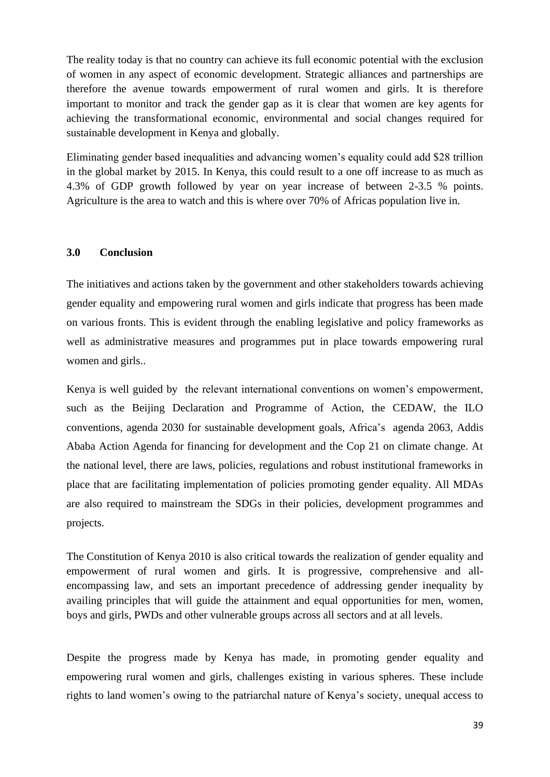The reality today is that no country can achieve its full economic potential with the exclusion of women in any aspect of economic development. Strategic alliances and partnerships are therefore the avenue towards empowerment of rural women and girls. It is therefore important to monitor and track the gender gap as it is clear that women are key agents for achieving the transformational economic, environmental and social changes required for sustainable development in Kenya and globally.

Eliminating gender based inequalities and advancing women's equality could add \$28 trillion in the global market by 2015. In Kenya, this could result to a one off increase to as much as 4.3% of GDP growth followed by year on year increase of between 2-3.5 % points. Agriculture is the area to watch and this is where over 70% of Africas population live in.

#### **3.0 Conclusion**

The initiatives and actions taken by the government and other stakeholders towards achieving gender equality and empowering rural women and girls indicate that progress has been made on various fronts. This is evident through the enabling legislative and policy frameworks as well as administrative measures and programmes put in place towards empowering rural women and girls..

Kenya is well guided by the relevant international conventions on women's empowerment, such as the Beijing Declaration and Programme of Action, the CEDAW, the ILO conventions, agenda 2030 for sustainable development goals, Africa's agenda 2063, Addis Ababa Action Agenda for financing for development and the Cop 21 on climate change. At the national level, there are laws, policies, regulations and robust institutional frameworks in place that are facilitating implementation of policies promoting gender equality. All MDAs are also required to mainstream the SDGs in their policies, development programmes and projects.

The Constitution of Kenya 2010 is also critical towards the realization of gender equality and empowerment of rural women and girls. It is progressive, comprehensive and allencompassing law, and sets an important precedence of addressing gender inequality by availing principles that will guide the attainment and equal opportunities for men, women, boys and girls, PWDs and other vulnerable groups across all sectors and at all levels.

Despite the progress made by Kenya has made, in promoting gender equality and empowering rural women and girls, challenges existing in various spheres. These include rights to land women's owing to the patriarchal nature of Kenya's society, unequal access to